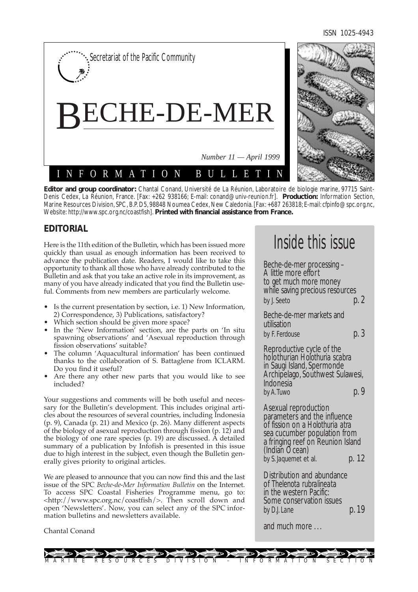ISSN 1025-4943



**Editor and group coordinator:** Chantal Conand, Université de La Réunion, Laboratoire de biologie marine, 97715 Saint-Denis Cedex, La Réunion, France. [Fax: +262 938166; E-mail: conand@univ-reunion.fr]. **Production:** Information Section, Marine Resources Division, SPC, B.P. D5, 98848 Noumea Cedex, New Caledonia. [Fax: +687 263818; E-mail: cfpinfo@spc.org.nc, Website: http://www.spc.org.nc/coastfish]. **Printed with financial assistance from France.**

# **EDITORIAL**

Here is the 11th edition of the Bulletin, which has been issued more quickly than usual as enough information has been received to advance the publication date. Readers, I would like to take this opportunity to thank all those who have already contributed to the Bulletin and ask that you take an active role in its improvement, as many of you have already indicated that you find the Bulletin useful. Comments from new members are particularly welcome.

- Is the current presentation by section, i.e. 1) New Information, 2) Correspondence, 3) Publications, satisfactory?
- Which section should be given more space?
- In the 'New Information' section, are the parts on 'In situ spawning observations' and 'Asexual reproduction through fission observations' suitable?
- The column 'Aquacultural information' has been continued thanks to the collaboration of S. Battaglene from ICLARM. Do you find it useful?
- Are there any other new parts that you would like to see included?

Your suggestions and comments will be both useful and necessary for the Bulletin's development. This includes original articles about the resources of several countries, including Indonesia (p. 9), Canada (p. 21) and Mexico (p. 26). Many different aspects of the biology of asexual reproduction through fission (p. 12) and the biology of one rare species (p. 19) are discussed. A detailed summary of a publication by Infofish is presented in this issue due to high interest in the subject, even though the Bulletin generally gives priority to original articles.

We are pleased to announce that you can now find this and the last issue of the SPC *Beche-de-Mer Information Bulletin* on the Internet. To access SPC Coastal Fisheries Programme menu, go to: <http://www.spc.org.nc/coastfish/>. Then scroll down and open 'Newsletters'. Now, you can select any of the SPC information bulletins and newsletters available.

#### Chantal Conand

# Inside this issue

Beche-de-mer processing – A little more effort to get much more money while saving precious resources by *J. Seeto* **p. 2** 

Beche-de-mer markets and utilisation by F. Ferdouse **p. 3** 

Reproductive cycle of the holothurian *Holothuria scabra* in Saugi Island, Spermonde Archipelago, Southwest Sulawesi, Indonesia *by A.Tuwo* p. 9

Asexual reproduction parameters and the influence of fission on a *Holothuria atra* sea cucumber population from a fringing reef on Reunion Island (Indian Ocean) by S. Jaquemet et al. **p. 12** 

Distribution and abundance of *Thelenota rubralineata* in the western Pacific: Some conservation issues *by D.J. Lane* **p. 19** 

and much more . . .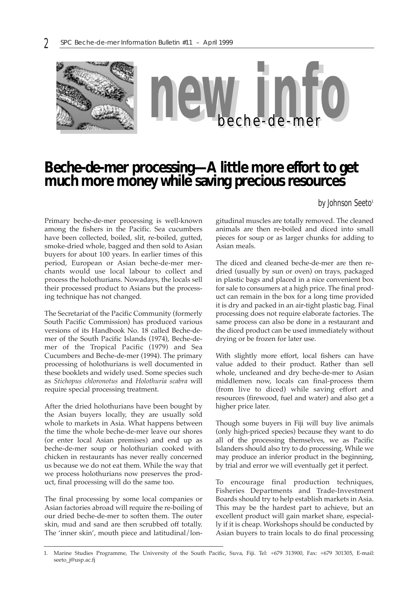

# **Beche-de-mer processing—A little more effort to get much more money while saving precious resources**

*by Johnson Seeto*<sup>1</sup>

Primary beche-de-mer processing is well-known among the fishers in the Pacific. Sea cucumbers have been collected, boiled, slit, re-boiled, gutted, smoke-dried whole, bagged and then sold to Asian buyers for about 100 years. In earlier times of this period, European or Asian beche-de-mer merchants would use local labour to collect and process the holothurians. Nowadays, the locals sell their processed product to Asians but the processing technique has not changed.

The Secretariat of the Pacific Community (formerly South Pacific Commission) has produced various versions of its Handbook No. 18 called Beche-demer of the South Pacific Islands (1974), Beche-demer of the Tropical Pacific (1979) and Sea Cucumbers and Beche-de-mer (1994). The primary processing of holothurians is well documented in these booklets and widely used. Some species such as *Stichopus chloronotus* and *Holothuria scabra* will require special processing treatment.

After the dried holothurians have been bought by the Asian buyers locally, they are usually sold whole to markets in Asia. What happens between the time the whole beche-de-mer leave our shores (or enter local Asian premises) and end up as beche-de-mer soup or holothurian cooked with chicken in restaurants has never really concerned us because we do not eat them. While the way that we process holothurians now preserves the product, final processing will do the same too.

The final processing by some local companies or Asian factories abroad will require the re-boiling of our dried beche-de-mer to soften them. The outer skin, mud and sand are then scrubbed off totally. The 'inner skin', mouth piece and latitudinal/longitudinal muscles are totally removed. The cleaned animals are then re-boiled and diced into small pieces for soup or as larger chunks for adding to Asian meals.

The diced and cleaned beche-de-mer are then redried (usually by sun or oven) on trays, packaged in plastic bags and placed in a nice convenient box for sale to consumers at a high price. The final product can remain in the box for a long time provided it is dry and packed in an air-tight plastic bag. Final processing does not require elaborate factories. The same process can also be done in a restaurant and the diced product can be used immediately without drying or be frozen for later use.

With slightly more effort, local fishers can have value added to their product. Rather than sell whole, uncleaned and dry beche-de-mer to Asian middlemen now, locals can final-process them (from live to diced) while saving effort and resources (firewood, fuel and water) and also get a higher price later.

Though some buyers in Fiji will buy live animals (only high-priced species) because they want to do all of the processing themselves, we as Pacific Islanders should also try to do processing. While we may produce an inferior product in the beginning, by trial and error we will eventually get it perfect.

To encourage final production techniques, Fisheries Departments and Trade-Investment Boards should try to help establish markets in Asia. This may be the hardest part to achieve, but an excellent product will gain market share, especially if it is cheap. Workshops should be conducted by Asian buyers to train locals to do final processing

<sup>1.</sup> Marine Studies Programme, The University of the South Pacific, Suva, Fiji. Tel: +679 313900, Fax: +679 301305, E-mail: seeto\_j@usp.ac.fj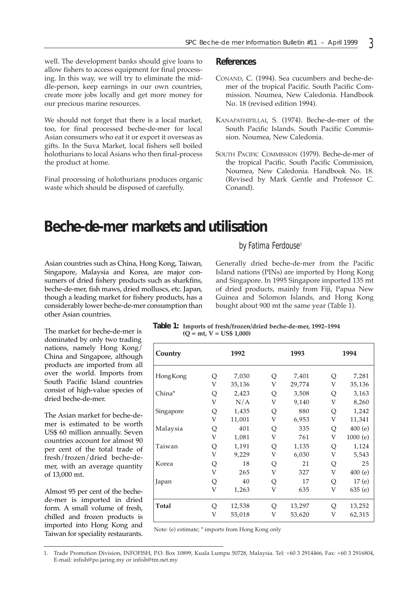well. The development banks should give loans to allow fishers to access equipment for final processing. In this way, we will try to eliminate the middle-person, keep earnings in our own countries, create more jobs locally and get more money for our precious marine resources.

We should not forget that there is a local market, too, for final processed beche-de-mer for local Asian consumers who eat it or export it overseas as gifts. In the Suva Market, local fishers sell boiled holothurians to local Asians who then final-process the product at home.

Final processing of holothurians produces organic waste which should be disposed of carefully.

#### **References**

- CONAND, C. (1994). Sea cucumbers and beche-demer of the tropical Pacific. South Pacific Commission. Noumea, New Caledonia. Handbook No. 18 (revised edition 1994).
- KANAPATHIPILLAI, S. (1974). Beche-de-mer of the South Pacific Islands. South Pacific Commission. Noumea, New Caledonia.
- SOUTH PACIFIC COMMISSION (1979). Beche-de-mer of the tropical Pacific. South Pacific Commission, Noumea, New Caledonia. Handbook No. 18. (Revised by Mark Gentle and Professor C. Conand).

# **Beche-de-mer markets and utilisation**

Asian countries such as China, Hong Kong, Taiwan, Singapore, Malaysia and Korea, are major consumers of dried fishery products such as sharkfins, beche-de-mer, fish maws, dried molluscs, etc. Japan, though a leading market for fishery products, has a considerably lower beche-de-mer consumption than other Asian countries.

## *by Fatima Ferdouse*<sup>1</sup>

Generally dried beche-de-mer from the Pacific Island nations (PINs) are imported by Hong Kong and Singapore. In 1995 Singapore imported 135 mt of dried products, mainly from Fiji, Papua New Guinea and Solomon Islands, and Hong Kong bought about 900 mt the same year (Table 1).

**Table 1: Imports of fresh/frozen/dried beche-de-mer, 1992–1994 (Q = mt, V = US\$ 1,000)**

| Country   |   | 1992   |   | 1993   |   | 1994    |
|-----------|---|--------|---|--------|---|---------|
| HongKong  | Q | 7,030  | Q | 7,401  | Q | 7,281   |
| China*    | V | 35,136 | V | 29,774 | V | 35,136  |
|           | Q | 2,423  | Q | 3,508  | Q | 3,163   |
|           | V | N/A    | V | 9,140  | V | 8,260   |
| Singapore | Q | 1,435  | Q | 880    | Q | 1,242   |
|           | V | 11,001 | V | 6,953  | V | 11,341  |
| Malaysia  | Q | 401    | Q | 335    | Q | 400(e)  |
|           | V | 1,081  | V | 761    | V | 1000(e) |
| Taiwan    | Q | 1,191  | Q | 1,135  | Q | 1,124   |
|           | V | 9,229  | V | 6,030  | V | 5,543   |
| Korea     | Q | 18     | Q | 21     | Q | 25      |
|           | V | 265    | V | 327    | V | 400(e)  |
| Japan     | Q | 40     | Q | 17     | Q | 17(e)   |
|           | V | 1,263  | V | 635    | V | 635(e)  |
| Total     | Q | 12,538 | Q | 13,297 | Q | 13,252  |
|           | V | 55,018 | V | 53,620 | V | 62,315  |

Note: (e) estimate; \* imports from Hong Kong only

The market for beche-de-mer is dominated by only two trading nations, namely Hong Kong/ China and Singapore, although products are imported from all over the world. Imports from South Pacific Island countries consist of high-value species of

The Asian market for beche-demer is estimated to be worth US\$ 60 million annually. Seven countries account for almost 90 per cent of the total trade of fresh/frozen/dried beche-demer, with an average quantity of 13,000 mt.

dried beche-de-mer.

Almost 95 per cent of the bechede-mer is imported in dried form. A small volume of fresh, chilled and frozen products is imported into Hong Kong and Taiwan for speciality restaurants.

<sup>1.</sup> Trade Promotion Division, INFOFISH, P.O. Box 10899, Kuala Lumpu 50728, Malaysia. Tel: +60 3 2914466, Fax: +60 3 2916804, E-mail: infish@po.jaring.my or infish@tm.net.my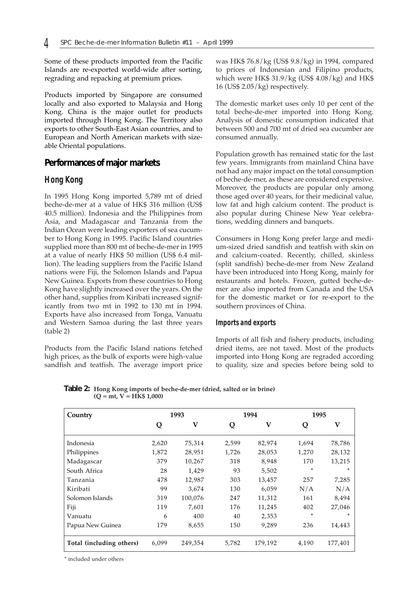Some of these products imported from the Pacific Islands are re-exported world-wide after sorting, regrading and repacking at premium prices.

Products imported by Singapore are consumed locally and also exported to Malaysia and Hong Kong. China is the major outlet for products imported through Hong Kong. The Territory also exports to other South-East Asian countries, and to European and North American markets with sizeable Oriental populations.

### **Performances of major markets**

#### *Hong Kong*

In 1995 Hong Kong imported 5,789 mt of dried beche-de-mer at a value of HK\$ 316 million (US\$ 40.5 million). Indonesia and the Philippines from Asia, and Madagascar and Tanzania from the Indian Ocean were leading exporters of sea cucumber to Hong Kong in 1995. Pacific Island countries supplied more than 800 mt of beche-de-mer in 1995 at a value of nearly HK\$ 50 million (US\$ 6.4 million). The leading suppliers from the Pacific Island nations were Fiji, the Solomon Islands and Papua New Guinea. Exports from these countries to Hong Kong have slightly increased over the years. On the other hand, supplies from Kiribati increased significantly from two mt in 1992 to 130 mt in 1994. Exports have also increased from Tonga, Vanuatu and Western Samoa during the last three years (table 2)

Products from the Pacific Island nations fetched high prices, as the bulk of exports were high-value sandfish and teatfish. The average import price was HK\$ 76.8/kg (US\$ 9.8/kg) in 1994, compared to prices of Indonesian and Filipino products, which were HK\$ 31.9/kg (US\$ 4.08/kg) and HK\$ 16 (US\$ 2.05/kg) respectively.

The domestic market uses only 10 per cent of the total beche-de-mer imported into Hong Kong. Analysis of domestic consumption indicated that between 500 and 700 mt of dried sea cucumber are consumed annually.

Population growth has remained static for the last few years. Immigrants from mainland China have not had any major impact on the total consumption of beche-de-mer, as these are considered expensive. Moreover, the products are popular only among those aged over 40 years, for their medicinal value, low fat and high calcium content. The product is also popular during Chinese New Year celebrations, wedding dinners and banquets.

Consumers in Hong Kong prefer large and medium-sized dried sandfish and teatfish with skin on and calcium-coated. Recently, chilled, skinless (split sandfish) beche-de-mer from New Zealand have been introduced into Hong Kong, mainly for restaurants and hotels. Frozen, gutted beche-demer are also imported from Canada and the USA for the domestic market or for re-export to the southern provinces of China.

#### *Imports and exports*

Imports of all fish and fishery products, including dried items, are not taxed. Most of the products imported into Hong Kong are regraded according to quality, size and species before being sold to

**Table 2: Hong Kong imports of beche-de-mer (dried, salted or in brine)**  $(Q = mt, V = H\hat{K}\$ 1,000)$ 

| Country                  | 1993  |         | 1994  |         | 1995  |         |
|--------------------------|-------|---------|-------|---------|-------|---------|
|                          | Q     | V       | Q     | V       | Q     | V       |
| Indonesia                | 2,620 | 75,314  | 2,599 | 82,974  | 1,694 | 78,786  |
| Philippines              | 1,872 | 28,951  | 1,726 | 28,053  | 1,270 | 28,132  |
| Madagascar               | 379   | 10,267  | 318   | 8,948   | 170   | 13,215  |
| South Africa             | 28    | 1.429   | 93    | 5,502   | *     | $\star$ |
| Tanzania                 | 478   | 12,987  | 303   | 13,457  | 257   | 7,285   |
| Kiribati                 | 99    | 3,674   | 130   | 6.059   | N/A   | N/A     |
| Solomon Islands          | 319   | 100,076 | 247   | 11,312  | 161   | 8,494   |
| Fiji                     | 119   | 7,601   | 176   | 11,245  | 402   | 27,046  |
| Vanuatu                  | 6     | 400     | 40    | 2,353   | *     | $\ast$  |
| Papua New Guinea         | 179   | 8,655   | 150   | 9,289   | 236   | 14,443  |
| Total (including others) | 6,099 | 249,354 | 5,782 | 179,192 | 4,190 | 177,401 |

\* included under others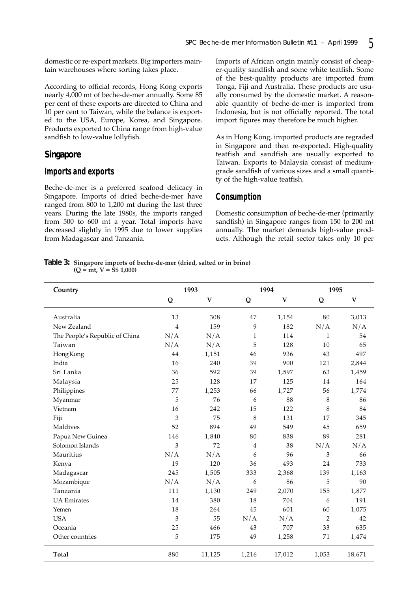domestic or re-export markets. Big importers maintain warehouses where sorting takes place.

According to official records, Hong Kong exports nearly 4,000 mt of beche-de-mer annually. Some 85 per cent of these exports are directed to China and 10 per cent to Taiwan, while the balance is exported to the USA, Europe, Korea, and Singapore. Products exported to China range from high-value sandfish to low-value lollyfish.

### **Singapore**

#### *Imports and exports*

Beche-de-mer is a preferred seafood delicacy in Singapore. Imports of dried beche-de-mer have ranged from 800 to 1,200 mt during the last three years. During the late 1980s, the imports ranged from 500 to 600 mt a year. Total imports have decreased slightly in 1995 due to lower supplies from Madagascar and Tanzania.

Imports of African origin mainly consist of cheaper-quality sandfish and some white teatfish. Some of the best-quality products are imported from Tonga, Fiji and Australia. These products are usually consumed by the domestic market. A reasonable quantity of beche-de-mer is imported from Indonesia, but is not officially reported. The total import figures may therefore be much higher.

As in Hong Kong, imported products are regraded in Singapore and then re-exported. High-quality teatfish and sandfish are usually exported to Taiwan. Exports to Malaysia consist of mediumgrade sandfish of various sizes and a small quantity of the high-value teatfish.

### *Consumption*

Domestic consumption of beche-de-mer (primarily sandfish) in Singapore ranges from 150 to 200 mt annually. The market demands high-value products. Although the retail sector takes only 10 per

**Table 3: Singapore imports of beche-de-mer (dried, salted or in brine) (Q = mt, V = S\$ 1,000)**

| Country                        | 1993 |              |                | 1994         |                | 1995         |  |
|--------------------------------|------|--------------|----------------|--------------|----------------|--------------|--|
|                                | Q    | $\mathbf{V}$ | Q              | $\mathbf{V}$ | Q              | $\mathbf{V}$ |  |
| Australia                      | 13   | 308          | 47             | 1,154        | 80             | 3,013        |  |
| New Zealand                    | 4    | 159          | 9              | 182          | N/A            | N/A          |  |
| The People's Republic of China | N/A  | N/A          | $\mathbf{1}$   | 114          | $\mathbf{1}$   | 54           |  |
| Taiwan                         | N/A  | N/A          | 5              | 128          | 10             | 65           |  |
| HongKong                       | 44   | 1,151        | 46             | 936          | 43             | 497          |  |
| India                          | 16   | 240          | 39             | 900          | 121            | 2,844        |  |
| Sri Lanka                      | 36   | 592          | 39             | 1,597        | 63             | 1,459        |  |
| Malaysia                       | 25   | 128          | 17             | 125          | 14             | 164          |  |
| Philippines                    | 77   | 1,253        | 66             | 1,727        | 56             | 1,774        |  |
| Myanmar                        | 5    | 76           | 6              | 88           | 8              | 86           |  |
| Vietnam                        | 16   | 242          | 15             | 122          | $\,8\,$        | 84           |  |
| Fiji                           | 3    | 75           | 8              | 131          | 17             | 345          |  |
| Maldives                       | 52   | 894          | 49             | 549          | 45             | 659          |  |
| Papua New Guinea               | 146  | 1,840        | 80             | 838          | 89             | 281          |  |
| Solomon Islands                | 3    | 72           | $\overline{4}$ | 38           | N/A            | N/A          |  |
| Mauritius                      | N/A  | N/A          | 6              | 96           | 3              | 66           |  |
| Kenya                          | 19   | 120          | 36             | 493          | 24             | 733          |  |
| Madagascar                     | 245  | 1,505        | 333            | 2,368        | 139            | 1,163        |  |
| Mozambique                     | N/A  | N/A          | 6              | 86           | 5              | 90           |  |
| Tanzania                       | 111  | 1,130        | 249            | 2,070        | 155            | 1,877        |  |
| <b>UA</b> Emirates             | 14   | 380          | 18             | 704          | 6              | 191          |  |
| Yemen                          | 18   | 264          | 45             | 601          | 60             | 1,075        |  |
| <b>USA</b>                     | 3    | 55           | N/A            | N/A          | $\overline{2}$ | 42           |  |
| Oceania                        | 25   | 466          | 43             | 707          | 33             | 635          |  |
| Other countries                | 5    | 175          | 49             | 1,258        | 71             | 1,474        |  |
| Total                          | 880  | 11,125       | 1,216          | 17,012       | 1,053          | 18,671       |  |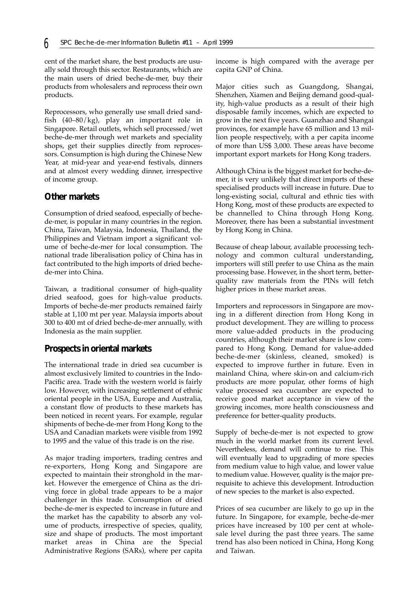cent of the market share, the best products are usually sold through this sector. Restaurants, which are the main users of dried beche-de-mer, buy their products from wholesalers and reprocess their own products.

Reprocessors, who generally use small dried sandfish (40–80/kg), play an important role in Singapore. Retail outlets, which sell processed/wet beche-de-mer through wet markets and speciality shops, get their supplies directly from reprocessors. Consumption is high during the Chinese New Year, at mid-year and year-end festivals, dinners and at almost every wedding dinner, irrespective of income group.

### **Other markets**

Consumption of dried seafood, especially of bechede-mer, is popular in many countries in the region. China, Taiwan, Malaysia, Indonesia, Thailand, the Philippines and Vietnam import a significant volume of beche-de-mer for local consumption. The national trade liberalisation policy of China has in fact contributed to the high imports of dried bechede-mer into China.

Taiwan, a traditional consumer of high-quality dried seafood, goes for high-value products. Imports of beche-de-mer products remained fairly stable at 1,100 mt per year. Malaysia imports about 300 to 400 mt of dried beche-de-mer annually, with Indonesia as the main supplier.

## **Prospects in oriental markets**

The international trade in dried sea cucumber is almost exclusively limited to countries in the Indo-Pacific area. Trade with the western world is fairly low. However, with increasing settlement of ethnic oriental people in the USA, Europe and Australia, a constant flow of products to these markets has been noticed in recent years. For example, regular shipments of beche-de-mer from Hong Kong to the USA and Canadian markets were visible from 1992 to 1995 and the value of this trade is on the rise.

As major trading importers, trading centres and re-exporters, Hong Kong and Singapore are expected to maintain their stronghold in the market. However the emergence of China as the driving force in global trade appears to be a major challenger in this trade. Consumption of dried beche-de-mer is expected to increase in future and the market has the capability to absorb any volume of products, irrespective of species, quality, size and shape of products. The most important market areas in China are the Special Administrative Regions (SARs), where per capita

income is high compared with the average per capita GNP of China.

Major cities such as Guangdong, Shangai, Shenzhen, Xiamen and Beijing demand good-quality, high-value products as a result of their high disposable family incomes, which are expected to grow in the next five years. Guanzhao and Shangai provinces, for example have 65 million and 13 million people respectively, with a per capita income of more than US\$ 3,000. These areas have become important export markets for Hong Kong traders.

Although China is the biggest market for beche-demer, it is very unlikely that direct imports of these specialised products will increase in future. Due to long-existing social, cultural and ethnic ties with Hong Kong, most of these products are expected to be channelled to China through Hong Kong. Moreover, there has been a substantial investment by Hong Kong in China.

Because of cheap labour, available processing technology and common cultural understanding, importers will still prefer to use China as the main processing base. However, in the short term, betterquality raw materials from the PINs will fetch higher prices in these market areas.

Importers and reprocessors in Singapore are moving in a different direction from Hong Kong in product development. They are willing to process more value-added products in the producing countries, although their market share is low compared to Hong Kong. Demand for value-added beche-de-mer (skinless, cleaned, smoked) is expected to improve further in future. Even in mainland China, where skin-on and calcium-rich products are more popular, other forms of high value processed sea cucumber are expected to receive good market acceptance in view of the growing incomes, more health consciousness and preference for better-quality products.

Supply of beche-de-mer is not expected to grow much in the world market from its current level. Nevertheless, demand will continue to rise. This will eventually lead to upgrading of more species from medium value to high value, and lower value to medium value. However, quality is the major prerequisite to achieve this development. Introduction of new species to the market is also expected.

Prices of sea cucumber are likely to go up in the future. In Singapore, for example, beche-de-mer prices have increased by 100 per cent at wholesale level during the past three years. The same trend has also been noticed in China, Hong Kong and Taiwan.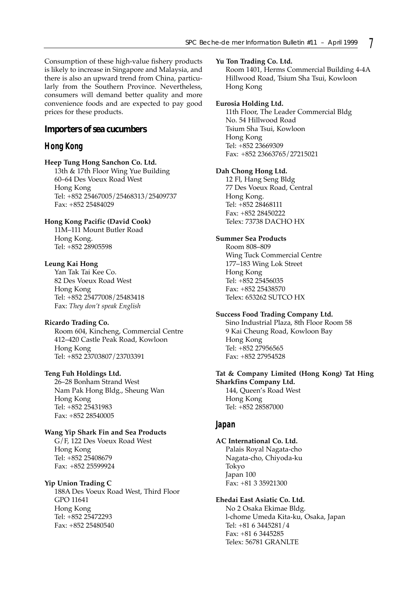Consumption of these high-value fishery products is likely to increase in Singapore and Malaysia, and there is also an upward trend from China, particularly from the Southern Province. Nevertheless, consumers will demand better quality and more convenience foods and are expected to pay good prices for these products.

#### **Importers of sea cucumbers**

#### *Hong Kong*

#### **Heep Tung Hong Sanchon Co. Ltd.**

13th & 17th Floor Wing Yue Building 60–64 Des Voeux Road West Hong Kong Tel: +852 25467005/25468313/25409737 Fax: +852 25484029

#### **Hong Kong Pacific (David Cook)**

11M–111 Mount Butler Road Hong Kong. Tel: +852 28905598

#### **Leung Kai Hong**

Yan Tak Tai Kee Co. 82 Des Voeux Road West Hong Kong Tel: +852 25477008/25483418 Fax: *They don't speak English*

#### **Ricardo Trading Co.**

Room 604, Kincheng, Commercial Centre 412–420 Castle Peak Road, Kowloon Hong Kong Tel: +852 23703807/23703391

#### **Teng Fuh Holdings Ltd.**

26–28 Bonham Strand West Nam Pak Hong Bldg., Sheung Wan Hong Kong Tel: +852 25431983 Fax: +852 28540005

#### **Wang Yip Shark Fin and Sea Products**

G/F, 122 Des Voeux Road West Hong Kong Tel: +852 25408679 Fax: +852 25599924

#### **Yip Union Trading C**

188A Des Voeux Road West, Third Floor GPO 11641 Hong Kong Tel: +852 25472293 Fax: +852 25480540

#### **Yu Ton Trading Co. Ltd.**

Room 1401, Herms Commercial Building 4-4A Hillwood Road, Tsium Sha Tsui, Kowloon Hong Kong

#### **Eurosia Holding Ltd.**

11th Floor, The Leader Commercial Bldg No. 54 Hillwood Road Tsium Sha Tsui, Kowloon Hong Kong Tel: +852 23669309 Fax: +852 23663765/27215021

#### **Dah Chong Hong Ltd.**

12 Fl, Hang Seng Bldg 77 Des Voeux Road, Central Hong Kong. Tel: +852 28468111 Fax: +852 28450222 Telex: 73738 DACHO HX

#### **Summer Sea Products**

Room 808–809 Wing Tuck Commercial Centre 177–183 Wing Lok Street Hong Kong Tel: +852 25456035 Fax: +852 25438570 Telex: 653262 SUTCO HX

#### **Success Food Trading Company Ltd.**

Sino Industrial Plaza, 8th Floor Room 58 9 Kai Cheung Road, Kowloon Bay Hong Kong Tel: +852 27956565 Fax: +852 27954528

#### **Tat & Company Limited (Hong Kong) Tat Hing Sharkfins Company Ltd.**

144, Queen's Road West Hong Kong Tel: +852 28587000

#### *Japan*

#### **AC International Co. Ltd.**

Palais Royal Nagata-cho Nagata-cho, Chiyoda-ku Tokyo Japan 100 Fax: +81 3 35921300

#### **Ehedai East Asiatic Co. Ltd.**

No 2 Osaka Ekimae Bldg. l-chome Umeda Kita-ku, Osaka, Japan Tel: +81 6 3445281/4 Fax: +81 6 3445285 Telex: 56781 GRANLTE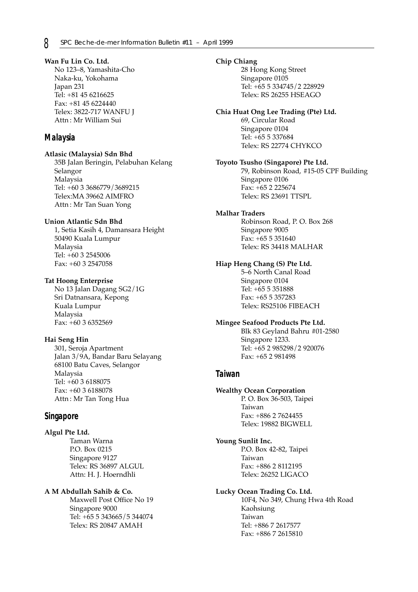**Wan Fu Lin Co. Ltd.** No 123–8, Yamashita-Cho Naka-ku, Yokohama Japan 231 Tel: +81 45 6216625 Fax: +81 45 6224440 Telex: 3822-717 WANFU J Attn : Mr William Sui

### *Malaysia*

#### **Atlasic (Malaysia) Sdn Bhd**

35B Jalan Beringin, Pelabuhan Kelang Selangor Malaysia Tel: +60 3 3686779/3689215 Telex:MA 39662 AIMFRO Attn : Mr Tan Suan Yong

#### **Union Atlantic Sdn Bhd**

1, Setia Kasih 4, Damansara Height 50490 Kuala Lumpur Malaysia Tel: +60 3 2545006 Fax: +60 3 2547058

#### **Tat Hoong Enterprise**

No 13 Jalan Dagang SG2/1G Sri Datnansara, Kepong Kuala Lumpur Malaysia Fax: +60 3 6352569

#### **Hai Seng Hin**

301, Seroja Apartment Jalan 3/9A, Bandar Baru Selayang 68100 Batu Caves, Selangor Malaysia Tel: +60 3 6188075 Fax: +60 3 6188078 Attn : Mr Tan Tong Hua

## *Singapore*

#### **Algul Pte Ltd.**

Taman Warna P.O. Box 0215 Singapore 9127 Telex: RS 36897 ALGUL Attn: H. J. Hoerndhli

### **A M Abdullah Sahib & Co.**

Maxwell Post Office No 19 Singapore 9000 Tel: +65 5 343665/5 344074 Telex: RS 20847 AMAH

#### **Chip Chiang**

28 Hong Kong Street Singapore 0105 Tel: +65 5 334745/2 228929 Telex: RS 26255 HSEAGO

#### **Chia Huat Ong Lee Trading (Pte) Ltd.**

69, Circular Road Singapore 0104 Tel: +65 5 337684 Telex: RS 22774 CHYKCO

#### **Toyoto Tsusho (Singapore) Pte Ltd.**

79, Robinson Road, #15-05 CPF Building Singapore 0106 Fax: +65 2 225674 Telex: RS 23691 TTSPL

#### **Malhar Traders**

Robinson Road, P. O. Box 268 Singapore 9005 Fax: +65 5 351640 Telex: RS 34418 MALHAR

#### **Hiap Heng Chang (S) Pte Ltd.**

5–6 North Canal Road Singapore 0104 Tel: +65 5 351888 Fax: +65 5 357283 Telex: RS25106 FIBEACH

#### **Mingee Seafood Products Pte Ltd.**

Blk 83 Geyland Bahru #01-2580 Singapore 1233. Tel: +65 2 985298/2 920076 Fax: +65 2 981498

## *Taiwan*

#### **Wealthy Ocean Corporation**

P. O. Box 36-503, Taipei Taiwan Fax: +886 2 7624455 Telex: 19882 BIGWELL

#### **Young Sunlit Inc.**

P.O. Box 42-82, Taipei Taiwan Fax: +886 2 8112195 Telex: 26252 LIGACO

#### **Lucky Ocean Trading Co. Ltd.**

10F4, No 349, Chung Hwa 4th Road Kaohsiung Taiwan Tel: +886 7 2617577 Fax: +886 7 2615810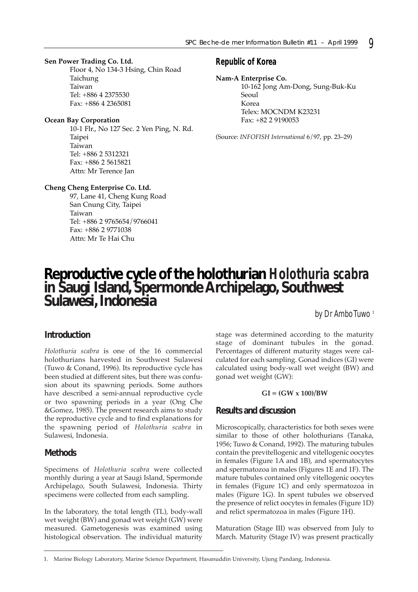#### **Sen Power Trading Co. Ltd.**

Floor 4, No 134-3 Hsing, Chin Road Taichung Taiwan Tel: +886 4 2375530 Fax: +886 4 2365081

#### **Ocean Bay Corporation**

10-1 Flr., No 127 Sec. 2 Yen Ping, N. Rd. Taipei Taiwan Tel: +886 2 5312321 Fax: +886 2 5615821 Attn: Mr Terence Jan

#### **Cheng Cheng Enterprise Co. Ltd.**

97, Lane 41, Cheng Kung Road San Cnung City, Taipei Taiwan Tel: +886 2 9765654/9766041 Fax: +886 2 9771038 Attn: Mr Te Hai Chu

### *Republic of Korea*

#### **Nam-A Enterprise Co.**

10-162 Jong Am-Dong, Sung-Buk-Ku Seoul Korea Telex: MOCNDM K23231 Fax: +82 2 9190053

(Source: *INFOFISH International* 6/97, pp. 23–29)

# **Reproductive cycle of the holothurian** *Holothuria scabra* **in Saugi Island, Spermonde Archipelago, Southwest Sulawesi, Indonesia**

*by Dr Ambo Tuwo* <sup>1</sup>

## **Introduction**

*Holothuria scabra* is one of the 16 commercial holothurians harvested in Southwest Sulawesi (Tuwo & Conand, 1996). Its reproductive cycle has been studied at different sites, but there was confusion about its spawning periods. Some authors have described a semi-annual reproductive cycle or two spawning periods in a year (Ong Che &Gomez, 1985). The present research aims to study the reproductive cycle and to find explanations for the spawning period of *Holothuria scabra* in Sulawesi, Indonesia.

### **Methods**

Specimens of *Holothuria scabra* were collected monthly during a year at Saugi Island, Spermonde Archipelago, South Sulawesi, Indonesia. Thirty specimens were collected from each sampling.

In the laboratory, the total length (TL), body-wall wet weight (BW) and gonad wet weight (GW) were measured. Gametogenesis was examined using histological observation. The individual maturity

stage was determined according to the maturity stage of dominant tubules in the gonad. Percentages of different maturity stages were calculated for each sampling. Gonad indices (GI) were calculated using body-wall wet weight (BW) and gonad wet weight (GW):

#### **GI = (GW x 100)/BW**

## **Results and discussion**

Microscopically, characteristics for both sexes were similar to those of other holothurians (Tanaka, 1956; Tuwo & Conand, 1992). The maturing tubules contain the previtellogenic and vitellogenic oocytes in females (Figure 1A and 1B), and spermatocytes and spermatozoa in males (Figures 1E and 1F). The mature tubules contained only vitellogenic oocytes in females (Figure 1C) and only spermatozoa in males (Figure 1G). In spent tubules we observed the presence of relict oocytes in females (Figure 1D) and relict spermatozoa in males (Figure 1H).

Maturation (Stage III) was observed from July to March. Maturity (Stage IV) was present practically

<sup>1.</sup> Marine Biology Laboratory, Marine Science Department, Hasanuddin University, Ujung Pandang, Indonesia.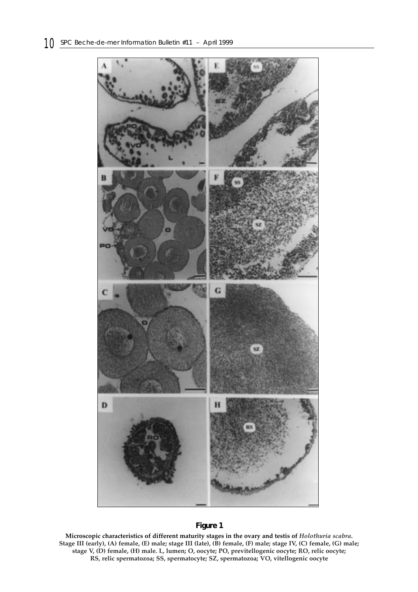

## **Figure 1**

**Microscopic characteristics of different maturity stages in the ovary and testis of** *Holothuria scabra***. Stage III (early), (A) female, (E) male; stage III (late), (B) female, (F) male; stage IV, (C) female, (G) male; stage V, (D) female, (H) male. L, lumen; O, oocyte; PO, previtellogenic oocyte; RO, relic oocyte; RS, relic spermatozoa; SS, spermatocyte; SZ, spermatozoa; VO, vitellogenic oocyte**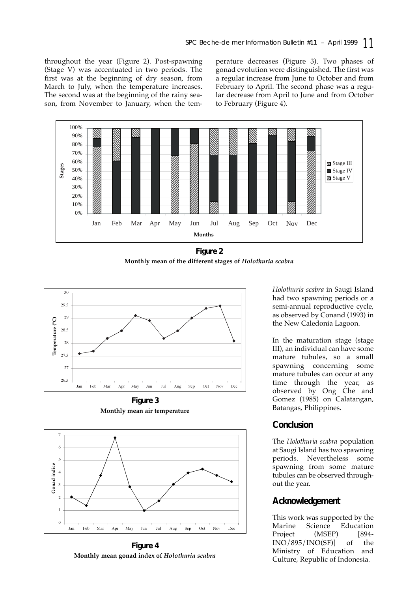throughout the year (Figure 2). Post-spawning (Stage V) was accentuated in two periods. The first was at the beginning of dry season, from March to July, when the temperature increases. The second was at the beginning of the rainy season, from November to January, when the temperature decreases (Figure 3). Two phases of gonad evolution were distinguished. The first was a regular increase from June to October and from February to April. The second phase was a regular decrease from April to June and from October to February (Figure 4).



**Figure 2 Monthly mean of the different stages of** *Holothuria scabra*



**Figure 3 Monthly mean air temperature**



**Figure 4 Monthly mean gonad index of** *Holothuria scabra*

*Holothuria scabra* in Saugi Island had two spawning periods or a semi-annual reproductive cycle, as observed by Conand (1993) in the New Caledonia Lagoon.

In the maturation stage (stage III), an individual can have some mature tubules, so a small spawning concerning some mature tubules can occur at any time through the year, as observed by Ong Che and Gomez (1985) on Calatangan, Batangas, Philippines.

# **Conclusion**

The *Holothuria scabra* population at Saugi Island has two spawning periods. Nevertheless some spawning from some mature tubules can be observed throughout the year.

# **Acknowledgement**

This work was supported by the Marine Science Education Project (MSEP) [894-INO/895/INO(SF)] of the Ministry of Education and Culture, Republic of Indonesia.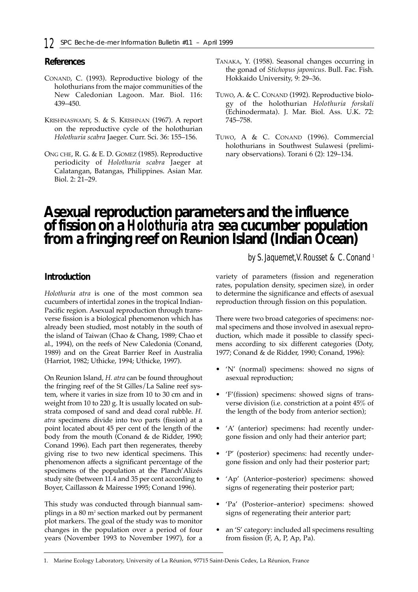# **References**

- CONAND, C. (1993). Reproductive biology of the holothurians from the major communities of the New Caledonian Lagoon. Mar. Biol. 116: 439–450.
- KRISHNASWAMY, S. & S. KRISHNAN (1967). A report on the reproductive cycle of the holothurian *Holothuria scabra* Jaeger. Curr. Sci. 36: 155–156.
- ONG CHE, R. G. & E. D. GOMEZ (1985). Reproductive periodicity of *Holothuria scabra* Jaeger at Calatangan, Batangas, Philippines. Asian Mar. Biol. 2: 21–29.
- TANAKA, Y. (1958). Seasonal changes occurring in the gonad of *Stichopus japonicus*. Bull. Fac. Fish. Hokkaido University, 9: 29–36.
- TUWO, A. & C. CONAND (1992). Reproductive biology of the holothurian *Holothuria forskali* (Echinodermata). J. Mar. Biol. Ass. U.K. 72: 745–758.
- TUWO, A & C. CONAND (1996). Commercial holothurians in Southwest Sulawesi (preliminary observations). Torani 6 (2): 129–134.

# **Asexual reproduction parameters and the influence of fission on a** *Holothuria atra* **sea cucumber population from a fringing reef on Reunion Island (Indian Ocean)**

*by S. Jaquemet,V. Rousset & C. Conand* <sup>1</sup>

# **Introduction**

*Holothuria atra* is one of the most common sea cucumbers of intertidal zones in the tropical Indian-Pacific region. Asexual reproduction through transverse fission is a biological phenomenon which has already been studied, most notably in the south of the island of Taiwan (Chao & Chang, 1989; Chao et al., 1994), on the reefs of New Caledonia (Conand, 1989) and on the Great Barrier Reef in Australia (Harriot, 1982; Uthicke, 1994; Uthicke, 1997).

On Reunion Island, *H. atra* can be found throughout the fringing reef of the St Gilles/La Saline reef system, where it varies in size from 10 to 30 cm and in weight from 10 to 220 g. It is usually located on substrata composed of sand and dead coral rubble. *H. atra* specimens divide into two parts (fission) at a point located about 45 per cent of the length of the body from the mouth (Conand & de Ridder, 1990; Conand 1996). Each part then regenerates, thereby giving rise to two new identical specimens. This phenomenon affects a significant percentage of the specimens of the population at the Planch'Alizés study site (between 11.4 and 35 per cent according to Boyer, Caillasson & Mairesse 1995; Conand 1996).

This study was conducted through biannual samplings in a 80 m2 section marked out by permanent plot markers. The goal of the study was to monitor changes in the population over a period of four years (November 1993 to November 1997), for a

variety of parameters (fission and regeneration rates, population density, specimen size), in order to determine the significance and effects of asexual reproduction through fission on this population.

There were two broad categories of specimens: normal specimens and those involved in asexual reproduction, which made it possible to classify specimens according to six different categories (Doty, 1977; Conand & de Ridder, 1990; Conand, 1996):

- 'N' (normal) specimens: showed no signs of asexual reproduction;
- 'F'(fission) specimens: showed signs of transverse division (i.e. constriction at a point 45% of the length of the body from anterior section);
- 'A' (anterior) specimens: had recently undergone fission and only had their anterior part;
- 'P' (posterior) specimens: had recently undergone fission and only had their posterior part;
- 'Ap' (Anterior–posterior) specimens: showed signs of regenerating their posterior part;
- 'Pa' (Posterior–anterior) specimens: showed signs of regenerating their anterior part;
- an 'S' category: included all specimens resulting from fission (F, A, P, Ap, Pa).

<sup>1.</sup> Marine Ecology Laboratory, University of La Réunion, 97715 Saint-Denis Cedex, La Réunion, France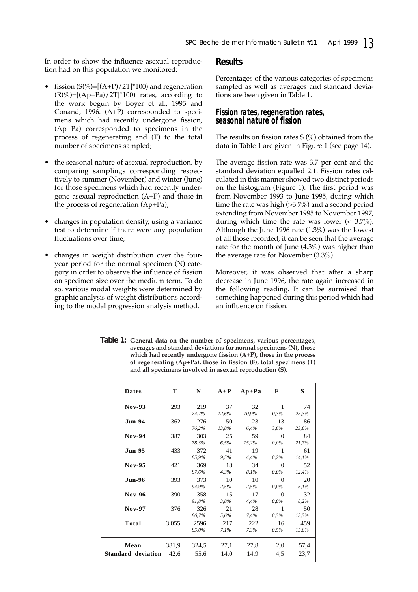In order to show the influence asexual reproduction had on this population we monitored:

- fission  $(S(\%)=[(A+P)/2T]^*100$  and regeneration  $(R(\%)=[(Ap+Pa)/2T]^*100)$  rates, according to the work begun by Boyer et al., 1995 and Conand, 1996. (A+P) corresponded to specimens which had recently undergone fission, (Ap+Pa) corresponded to specimens in the process of regenerating and (T) to the total number of specimens sampled;
- the seasonal nature of asexual reproduction, by comparing samplings corresponding respectively to summer (November) and winter (June) for those specimens which had recently undergone asexual reproduction (A+P) and those in the process of regeneration (Ap+Pa);
- changes in population density, using a variance test to determine if there were any population fluctuations over time;
- changes in weight distribution over the fouryear period for the normal specimen (N) category in order to observe the influence of fission on specimen size over the medium term. To do so, various modal weights were determined by graphic analysis of weight distributions according to the modal progression analysis method.

#### **Results**

Percentages of the various categories of specimens sampled as well as averages and standard deviations are been given in Table 1.

### *Fission rates, regeneration rates, seasonal nature of fission*

The results on fission rates  $S$  (%) obtained from the data in Table 1 are given in Figure 1 (see page 14).

The average fission rate was 3.7 per cent and the standard deviation equalled 2.1. Fission rates calculated in this manner showed two distinct periods on the histogram (Figure 1). The first period was from November 1993 to June 1995, during which time the rate was high (>3.7%) and a second period extending from November 1995 to November 1997, during which time the rate was lower (< 3.7%). Although the June 1996 rate (1.3%) was the lowest of all those recorded, it can be seen that the average rate for the month of June (4.3%) was higher than the average rate for November (3.3%).

Moreover, it was observed that after a sharp decrease in June 1996, the rate again increased in the following reading. It can be surmised that something happened during this period which had an influence on fission.

| Table 1: General data on the number of specimens, various percentages,     |
|----------------------------------------------------------------------------|
| averages and standard deviations for normal specimens (N), those           |
| which had recently undergone fission $(A+P)$ , those in the process        |
| of regenerating $(Ap+Pa)$ , those in fission $(F)$ , total specimens $(T)$ |
| and all specimens involved in asexual reproduction (S).                    |

| <b>Dates</b>                           | T     | ${\bf N}$     | $A+P$        | $Ap+Pa$      | F                       | S            |
|----------------------------------------|-------|---------------|--------------|--------------|-------------------------|--------------|
| <b>Nov-93</b>                          | 293   | 219<br>74,7%  | 37<br>12,6%  | 32<br>10,9%  | $\mathbf{1}$<br>$0.3\%$ | 74<br>25,3%  |
| <b>Jun-94</b>                          | 362   | 276<br>76,2%  | 50<br>13.8%  | 23<br>6.4%   | 13<br>3,6%              | 86<br>23,8%  |
| $Nov-94$                               | 387   | 303<br>78,3%  | 25<br>6,5%   | 59<br>15,2%  | $\Omega$<br>$0.0\%$     | 84<br>21,7%  |
| <b>Jun-95</b>                          | 433   | 372<br>85,9%  | 41<br>9,5%   | 19<br>4,4%   | 1<br>$0.2\%$            | 61<br>14.1%  |
| <b>Nov-95</b>                          | 421   | 369<br>87,6%  | 18<br>4,3%   | 34<br>8,1%   | $\Omega$<br>$0.0\%$     | 52<br>12,4%  |
| <b>Jun-96</b>                          | 393   | 373<br>94,9%  | 10<br>2,5%   | 10<br>2,5%   | $\Omega$<br>$0.0\%$     | 20<br>5.1%   |
| <b>Nov-96</b>                          | 390   | 358<br>91,8%  | 15<br>3,8%   | 17<br>4,4%   | $\Omega$<br>$0.0\%$     | 32<br>8,2%   |
| <b>Nov-97</b>                          | 376   | 326<br>86,7%  | 21<br>5,6%   | 28<br>7,4%   | 1<br>$0.3\%$            | 50<br>13,3%  |
| Total                                  | 3,055 | 2596<br>85,0% | 217<br>7.1%  | 222<br>7.3%  | 16<br>$0.5\%$           | 459<br>15,0% |
| Mean<br><b>Standard deviation</b> 42,6 | 381,9 | 324,5<br>55,6 | 27,1<br>14,0 | 27,8<br>14,9 | 2,0<br>4,5              | 57,4<br>23,7 |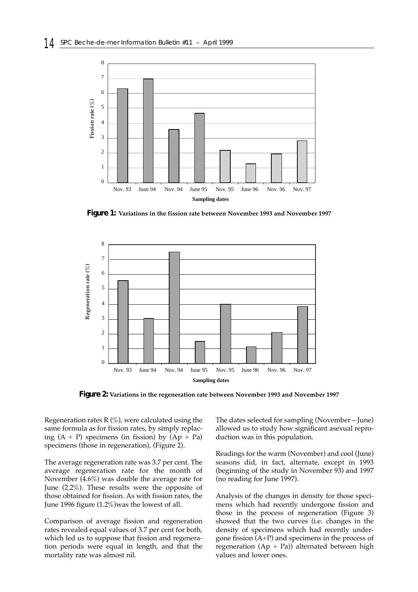

**Figure 1: Variations in the fission rate between November 1993 and November 1997**



**Figure 2: Variations in the regeneration rate between November 1993 and November 1997**

Regeneration rates  $R(\%)$ , were calculated using the same formula as for fission rates, by simply replacing  $(A + P)$  specimens (in fission) by  $(Ap + Pa)$ specimens (those in regeneration), (Figure 2).

The average regeneration rate was 3.7 per cent. The average regeneration rate for the month of November (4.6%) was double the average rate for June (2.2%). These results were the opposite of those obtained for fission. As with fission rates, the June 1996 figure (1.2%)was the lowest of all.

Comparison of average fission and regeneration rates revealed equal values of 3.7 per cent for both, which led us to suppose that fission and regeneration periods were equal in length, and that the mortality rate was almost nil.

The dates selected for sampling (November – June) allowed us to study how significant asexual reproduction was in this population.

Readings for the warm (November) and cool (June) seasons did, in fact, alternate, except in 1993 (beginning of the study in November 93) and 1997 (no reading for June 1997).

Analysis of the changes in density for those specimens which had recently undergone fission and those in the process of regeneration (Figure 3) showed that the two curves (i.e. changes in the density of specimens which had recently undergone fission (A+P) and specimens in the process of regeneration  $(Ap + Pa)$ ) alternated between high values and lower ones.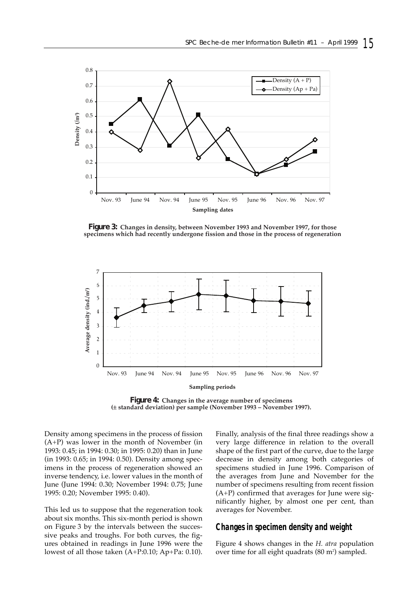

**Figure 3: Changes in density, between November 1993 and November 1997, for those specimens which had recently undergone fission and those in the process of regeneration**



**Figure 4: Changes in the average number of specimens (± standard deviation) per sample (November 1993 – November 1997).**

Density among specimens in the process of fission (A+P) was lower in the month of November (in 1993: 0.45; in 1994: 0.30; in 1995: 0.20) than in June (in 1993: 0.65; in 1994: 0.50). Density among specimens in the process of regeneration showed an inverse tendency, i.e. lower values in the month of June (June 1994: 0.30; November 1994: 0.75; June 1995: 0.20; November 1995: 0.40).

This led us to suppose that the regeneration took about six months. This six-month period is shown on Figure 3 by the intervals between the successive peaks and troughs. For both curves, the figures obtained in readings in June 1996 were the lowest of all those taken (A+P:0.10; Ap+Pa: 0.10).

Finally, analysis of the final three readings show a very large difference in relation to the overall shape of the first part of the curve, due to the large decrease in density among both categories of specimens studied in June 1996. Comparison of the averages from June and November for the number of specimens resulting from recent fission (A+P) confirmed that averages for June were significantly higher, by almost one per cent, than averages for November.

## *Changes in specimen density and weight*

Figure 4 shows changes in the *H. atra* population over time for all eight quadrats  $(80 \text{ m}^2)$  sampled.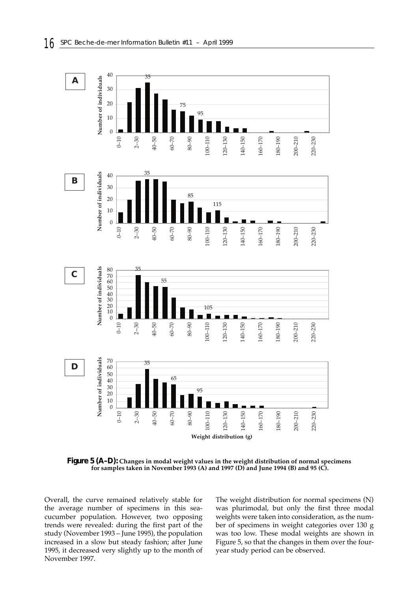

**Figure 5 (A–D): Changes in modal weight values in the weight distribution of normal specimens for samples taken in November 1993 (A) and 1997 (D) and June 1994 (B) and 95 (C).**

Overall, the curve remained relatively stable for the average number of specimens in this seacucumber population. However, two opposing trends were revealed: during the first part of the study (November 1993 – June 1995), the population increased in a slow but steady fashion; after June 1995, it decreased very slightly up to the month of November 1997.

The weight distribution for normal specimens (N) was plurimodal, but only the first three modal weights were taken into consideration, as the number of specimens in weight categories over 130 g was too low. These modal weights are shown in Figure 5, so that the changes in them over the fouryear study period can be observed.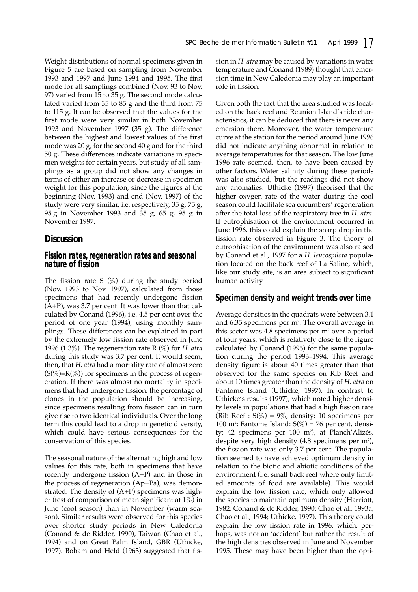Weight distributions of normal specimens given in Figure 5 are based on sampling from November 1993 and 1997 and June 1994 and 1995. The first mode for all samplings combined (Nov. 93 to Nov. 97) varied from 15 to 35 g. The second mode calculated varied from 35 to 85 g and the third from 75 to 115 g. It can be observed that the values for the first mode were very similar in both November 1993 and November 1997 (35 g). The difference between the highest and lowest values of the first mode was 20 g, for the second 40 g and for the third 50 g. These differences indicate variations in specimen weights for certain years, but study of all samplings as a group did not show any changes in terms of either an increase or decrease in specimen weight for this population, since the figures at the beginning (Nov. 1993) and end (Nov. 1997) of the study were very similar, i.e. respectively, 35 g, 75 g, 95 g in November 1993 and 35 g, 65 g, 95 g in November 1997.

## **Discussion**

#### *Fission rates, regeneration rates and seasonal nature of fission*

The fission rate S  $(\%)$  during the study period (Nov. 1993 to Nov. 1997), calculated from those specimens that had recently undergone fission (A+P), was 3.7 per cent. It was lower than that calculated by Conand (1996), i.e. 4.5 per cent over the period of one year (1994), using monthly samplings. These differences can be explained in part by the extremely low fission rate observed in June 1996 (1.3%). The regeneration rate R (%) for *H. atra* during this study was 3.7 per cent. It would seem, then, that *H. atra* had a mortality rate of almost zero  $(S(\%)=R(\%))$  for specimens in the process of regeneration. If there was almost no mortality in specimens that had undergone fission, the percentage of clones in the population should be increasing, since specimens resulting from fission can in turn give rise to two identical individuals. Over the long term this could lead to a drop in genetic diversity, which could have serious consequences for the conservation of this species.

The seasonal nature of the alternating high and low values for this rate, both in specimens that have recently undergone fission (A+P) and in those in the process of regeneration (Ap+Pa), was demonstrated. The density of (A+P) specimens was higher (test of comparison of mean significant at  $1\%$ ) in June (cool season) than in November (warm season). Similar results were observed for this species over shorter study periods in New Caledonia (Conand & de Ridder, 1990), Taiwan (Chao et al., 1994) and on Great Palm Island, GBR (Uthicke, 1997). Boham and Held (1963) suggested that fission in *H. atra* may be caused by variations in water temperature and Conand (1989) thought that emersion time in New Caledonia may play an important role in fission.

Given both the fact that the area studied was located on the back reef and Reunion Island's tide characteristics, it can be deduced that there is never any emersion there. Moreover, the water temperature curve at the station for the period around June 1996 did not indicate anything abnormal in relation to average temperatures for that season. The low June 1996 rate seemed, then, to have been caused by other factors. Water salinity during these periods was also studied, but the readings did not show any anomalies. Uthicke (1997) theorised that the higher oxygen rate of the water during the cool season could facilitate sea cucumbers' regeneration after the total loss of the respiratory tree in *H. atra*. If eutrophisation of the environment occurred in June 1996, this could explain the sharp drop in the fission rate observed in Figure 3. The theory of eutrophisation of the environment was also raised by Conand et al., 1997 for a *H. leucospilota* population located on the back reef of La Saline, which, like our study site, is an area subject to significant human activity.

### *Specimen density and weight trends over time*

Average densities in the quadrats were between 3.1 and 6.35 specimens per m². The overall average in this sector was  $4.8$  specimens per  $m<sup>2</sup>$  over a period of four years, which is relatively close to the figure calculated by Conand (1996) for the same population during the period 1993–1994. This average density figure is about 40 times greater than that observed for the same species on Rib Reef and about 10 times greater than the density of *H. atra* on Fantome Island (Uthicke, 1997). In contrast to Uthicke's results (1997), which noted higher density levels in populations that had a high fission rate (Rib Reef :  $S(\%) = 9\%$ , density: 10 specimens per 100 m<sup>2</sup>; Fantome Island:  $S(\%)$  = 76 per cent, density: 42 specimens per 100 m²), at Planch'Alizés, despite very high density (4.8 specimens per m²), the fission rate was only 3.7 per cent. The population seemed to have achieved optimum density in relation to the biotic and abiotic conditions of the environment (i.e. small back reef where only limited amounts of food are available). This would explain the low fission rate, which only allowed the species to maintain optimum density (Harriott, 1982; Conand & de Ridder, 1990; Chao et al.; 1993a; Chao et al., 1994; Uthicke, 1997). This theory could explain the low fission rate in 1996, which, perhaps, was not an 'accident' but rather the result of the high densities observed in June and November 1995. These may have been higher than the opti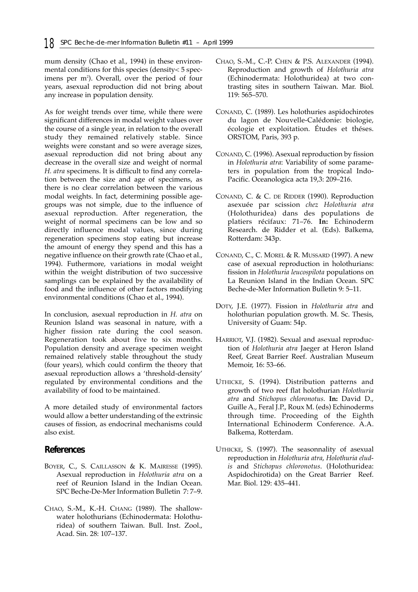mum density (Chao et al., 1994) in these environmental conditions for this species (density< 5 specimens per m<sup>2</sup>). Overall, over the period of four years, asexual reproduction did not bring about any increase in population density.

As for weight trends over time, while there were significant differences in modal weight values over the course of a single year, in relation to the overall study they remained relatively stable. Since weights were constant and so were average sizes, asexual reproduction did not bring about any decrease in the overall size and weight of normal *H. atra* specimens. It is difficult to find any correlation between the size and age of specimens, as there is no clear correlation between the various modal weights. In fact, determining possible agegroups was not simple, due to the influence of asexual reproduction. After regeneration, the weight of normal specimens can be low and so directly influence modal values, since during regeneration specimens stop eating but increase the amount of energy they spend and this has a negative influence on their growth rate (Chao et al., 1994). Futhermore, variations in modal weight within the weight distribution of two successive samplings can be explained by the availability of food and the influence of other factors modifying environmental conditions (Chao et al., 1994).

In conclusion, asexual reproduction in *H. atra* on Reunion Island was seasonal in nature, with a higher fission rate during the cool season. Regeneration took about five to six months. Population density and average specimen weight remained relatively stable throughout the study (four years), which could confirm the theory that asexual reproduction allows a 'threshold-density' regulated by environmental conditions and the availability of food to be maintained.

A more detailed study of environmental factors would allow a better understanding of the extrinsic causes of fission, as endocrinal mechanisms could also exist.

## **References**

- BOYER, C., S. CAILLASSON & K. MAIRESSE (1995). Asexual reproduction in *Holothuria atra* on a reef of Reunion Island in the Indian Ocean. SPC Beche-De-Mer Information Bulletin 7: 7–9.
- CHAO, S.-M., K.-H. CHANG (1989). The shallowwater holothurians (Echinodermata: Holothuridea) of southern Taiwan. Bull. Inst. Zool., Acad. Sin. 28: 107–137.
- CHAO, S.-M., C.-P. CHEN & P.S. ALEXANDER (1994). Reproduction and growth of *Holothuria atra* (Echinodermata: Holothuridea) at two contrasting sites in southern Taiwan. Mar. Biol. 119: 565–570.
- CONAND, C. (1989). Les holothuries aspidochirotes du lagon de Nouvelle-Calédonie: biologie, écologie et exploitation. Études et théses. ORSTOM, Paris, 393 p.
- CONAND, C. (1996). Asexual reproduction by fission in *Holothuria atra*: Variability of some parameters in population from the tropical Indo-Pacific. Oceanologica acta 19,3: 209–216.
- CONAND, C. & C. DE RIDDER (1990). Reproduction asexuée par scission *chez Holothuria atra* (Holothuridea) dans des populations de platiers récifaux: 71–76. **In:** Echinoderm Research. de Ridder et al. (Eds). Balkema, Rotterdam: 343p.
- CONAND, C., C. MOREL & R. MUSSARD (1997). A new case of asexual reproduction in holothurians: fission in *Holothuria leucospilota* populations on La Reunion Island in the Indian Ocean. SPC Beche-de-Mer Information Bulletin 9: 5–11.
- DOTY, J.E. (1977). Fission in *Holothuria atra* and holothurian population growth. M. Sc. Thesis, University of Guam: 54p.
- HARRIOT, V.J. (1982). Sexual and asexual reproduction of *Holothuria atra* Jaeger at Heron Island Reef, Great Barrier Reef. Australian Museum Memoir, 16: 53–66.
- UTHICKE, S. (1994). Distribution patterns and growth of two reef flat holothurian *Holothuria atra* and *Stichopus chloronotus*. **In:** David D., Guille A., Feral J.P., Roux M. (eds) Echinoderms through time. Proceeding of the Eighth International Echinoderm Conference. A.A. Balkema, Rotterdam.
- UTHICKE, S. (1997). The seasonnality of asexual reproduction in *Holothuria atra*, *Holothuria eludis* and *Stichopus chloronotus*. (Holothuridea: Aspidochirotida) on the Great Barrier Reef. Mar. Biol. 129: 435–441.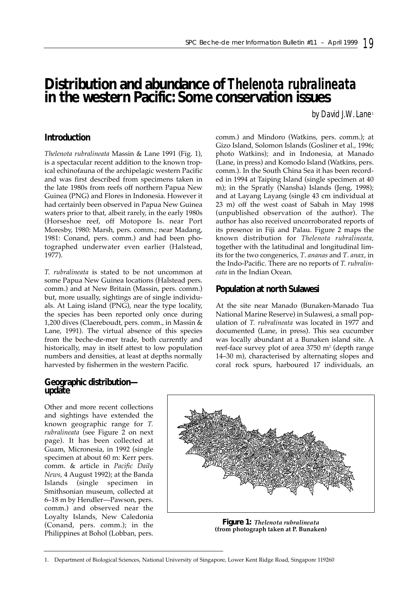# **Distribution and abundance of** *Thelenota rubralineata*  **in the western Pacific: Some conservation issues**

by David J.W. Lane<sup>1</sup>

# **Introduction**

*Thelenota rubralineata* Massin & Lane 1991 (Fig. 1), is a spectacular recent addition to the known tropical echinofauna of the archipelagic western Pacific and was first described from specimens taken in the late 1980s from reefs off northern Papua New Guinea (PNG) and Flores in Indonesia. However it had certainly been observed in Papua New Guinea waters prior to that, albeit rarely, in the early 1980s (Horseshoe reef, off Motopore Is. near Port Moresby, 1980: Marsh, pers. comm.; near Madang, 1981: Conand, pers. comm.) and had been photographed underwater even earlier (Halstead, 1977).

*T. rubralineata* is stated to be not uncommon at some Papua New Guinea locations (Halstead pers. comm.) and at New Britain (Massin, pers. comm.) but, more usually, sightings are of single individuals. At Laing island (PNG), near the type locality, the species has been reported only once during 1,200 dives (Claereboudt, pers. comm., in Massin & Lane, 1991). The virtual absence of this species from the beche-de-mer trade, both currently and historically, may in itself attest to low population numbers and densities, at least at depths normally harvested by fishermen in the western Pacific.

## **Geographic distribution update**

Other and more recent collections and sightings have extended the known geographic range for *T. rubralineata* (see Figure 2 on next page). It has been collected at Guam, Micronesia, in 1992 (single specimen at about 60 m: Kerr pers. comm. & article in *Pacific Daily News*, 4 August 1992); at the Banda Islands (single specimen in Smithsonian museum, collected at 6–18 m by Hendler—Pawson, pers. comm.) and observed near the Loyalty Islands, New Caledonia (Conand, pers. comm.); in the Philippines at Bohol (Lobban, pers.

comm.) and Mindoro (Watkins, pers. comm.); at Gizo Island, Solomon Islands (Gosliner et al., 1996; photo Watkins); and in Indonesia, at Manado (Lane, in press) and Komodo Island (Watkins, pers. comm.). In the South China Sea it has been recorded in 1994 at Taiping Island (single specimen at 40 m); in the Spratly (Nansha) Islands (Jeng, 1998); and at Layang Layang (single 43 cm individual at 23 m) off the west coast of Sabah in May 1998 (unpublished observation of the author). The author has also received uncorroborated reports of its presence in Fiji and Palau. Figure 2 maps the known distribution for *Thelenota rubralineata,* together with the latitudinal and longitudinal limits for the two congenerics, *T*. *ananas* and *T*. *anax*, in the Indo-Pacific. There are no reports of *T. rubralineata* in the Indian Ocean.

# **Population at north Sulawesi**

At the site near Manado (Bunaken-Manado Tua National Marine Reserve) in Sulawesi, a small population of *T. rubralineata* was located in 1977 and documented (Lane, in press). This sea cucumber was locally abundant at a Bunaken island site. A reef-face survey plot of area  $3750 \text{ m}^2$  (depth range 14–30 m), characterised by alternating slopes and coral rock spurs, harboured 17 individuals, an



**Figure 1:** *Thelenota rubralineata* **(from photograph taken at P. Bunaken)**

<sup>1.</sup> Department of Biological Sciences, National University of Singapore, Lower Kent Ridge Road, Singapore 119260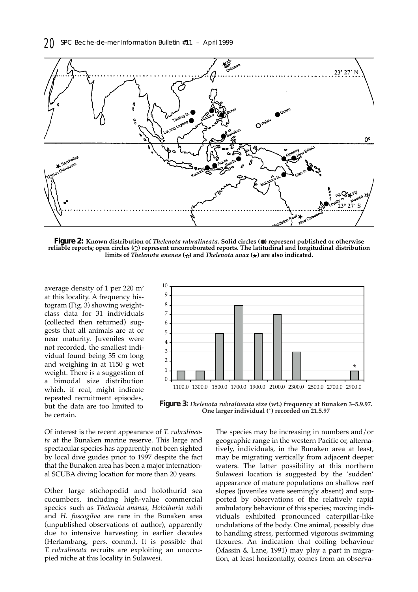

**Figure 2: Known distribution of** *Thelenota rubralineata***. Solid circles ( ) represent published or otherwise reliable reports; open circles ( ) represent uncorroborated reports. The latitudinal and longitudinal distribution** limits of *Thelenota ananas*  $(\star)$  and *Thelenota anax*  $(\star)$  are also indicated.

average density of 1 per 220 m<sup>2</sup> at this locality. A frequency histogram (Fig. 3) showing weightclass data for 31 individuals (collected then returned) suggests that all animals are at or near maturity. Juveniles were not recorded, the smallest individual found being 35 cm long and weighing in at 1150 g wet weight. There is a suggestion of a bimodal size distribution which, if real, might indicate repeated recruitment episodes, but the data are too limited to be certain.



**Figure 3:** *Thelenota rubralineata* **size (wt.) frequency at Bunaken 3–5.9.97. One larger individual (\*) recorded on 21.5.97**

Of interest is the recent appearance of *T. rubralineata* at the Bunaken marine reserve. This large and spectacular species has apparently not been sighted by local dive guides prior to 1997 despite the fact that the Bunaken area has been a major international SCUBA diving location for more than 20 years.

Other large stichopodid and holothurid sea cucumbers, including high-value commercial species such as *Thelenota ananas, Holothuria nobili* and *H. fuscogilva* are rare in the Bunaken area (unpublished observations of author), apparently due to intensive harvesting in earlier decades (Herlambang, pers. comm.). It is possible that *T. rubralineata* recruits are exploiting an unoccupied niche at this locality in Sulawesi.

The species may be increasing in numbers and/or geographic range in the western Pacific or, alternatively, individuals, in the Bunaken area at least, may be migrating vertically from adjacent deeper waters. The latter possibility at this northern Sulawesi location is suggested by the 'sudden' appearance of mature populations on shallow reef slopes (juveniles were seemingly absent) and supported by observations of the relatively rapid ambulatory behaviour of this species; moving individuals exhibited pronounced caterpillar-like undulations of the body. One animal, possibly due to handling stress, performed vigorous swimming flexures. An indication that coiling behaviour (Massin & Lane, 1991) may play a part in migration, at least horizontally, comes from an observa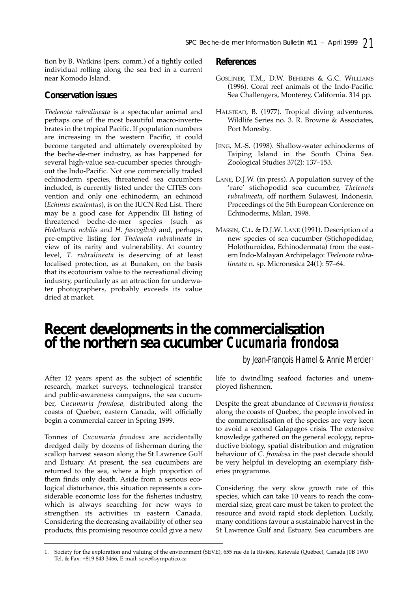tion by B. Watkins (pers. comm.) of a tightly coiled individual rolling along the sea bed in a current near Komodo Island.

## **Conservation issues**

*Thelenota rubralineata* is a spectacular animal and perhaps one of the most beautiful macro-invertebrates in the tropical Pacific. If population numbers are increasing in the western Pacific, it could become targeted and ultimately overexploited by the beche-de-mer industry, as has happened for several high-value sea-cucumber species throughout the Indo-Pacific. Not one commercially traded echinoderm species, threatened sea cucumbers included, is currently listed under the CITES convention and only one echinoderm, an echinoid (*Echinus esculentus*), is on the IUCN Red List. There may be a good case for Appendix III listing of threatened beche-de-mer species (such as *Holothuria nobilis* and *H. fuscogilva*) and, perhaps, pre-emptive listing for *Thelenota rubralineata* in view of its rarity and vulnerability. At country level, *T. rubralineata* is deserving of at least localised protection, as at Bunaken, on the basis that its ecotourism value to the recreational diving industry, particularly as an attraction for underwater photographers, probably exceeds its value dried at market.

## **References**

- GOSLINER, T.M., D.W. BEHRENS & G.C. WILLIAMS (1996). Coral reef animals of the Indo-Pacific. Sea Challengers, Monterey, California. 314 pp.
- HALSTEAD, B. (1977). Tropical diving adventures. Wildlife Series no. 3. R. Browne & Associates, Port Moresby.
- JENG, M.-S. (1998). Shallow-water echinoderms of Taiping Island in the South China Sea. Zoological Studies 37(2): 137–153.
- LANE, D.J.W. (in press). A population survey of the 'rare' stichopodid sea cucumber, *Thelenota rubralineata*, off northern Sulawesi, Indonesia. Proceedings of the 5th European Conference on Echinoderms, Milan, 1998.
- MASSIN, C.L. & D.J.W. LANE (1991). Description of a new species of sea cucumber (Stichopodidae, Holothuroidea, Echinodermata) from the eastern Indo-Malayan Archipelago: *Thelenota rubralineata* n. sp. Micronesica 24(1): 57–64.

# **Recent developments in the commercialisation of the northern sea cucumber** *Cucumaria frondosa*

*by Jean-François Hamel & Annie Mercier* <sup>1</sup>

After 12 years spent as the subject of scientific research, market surveys, technological transfer and public-awareness campaigns, the sea cucumber, *Cucumaria frondosa,* distributed along the coasts of Quebec, eastern Canada, will officially begin a commercial career in Spring 1999.

Tonnes of *Cucumaria frondosa* are accidentally dredged daily by dozens of fisherman during the scallop harvest season along the St Lawrence Gulf and Estuary. At present, the sea cucumbers are returned to the sea, where a high proportion of them finds only death. Aside from a serious ecological disturbance, this situation represents a considerable economic loss for the fisheries industry, which is always searching for new ways to strengthen its activities in eastern Canada. Considering the decreasing availability of other sea products, this promising resource could give a new

life to dwindling seafood factories and unemployed fishermen.

Despite the great abundance of *Cucumaria frondosa* along the coasts of Quebec, the people involved in the commercialisation of the species are very keen to avoid a second Galapagos crisis. The extensive knowledge gathered on the general ecology, reproductive biology, spatial distribution and migration behaviour of *C. frondosa* in the past decade should be very helpful in developing an exemplary fisheries programme.

Considering the very slow growth rate of this species, which can take 10 years to reach the commercial size, great care must be taken to protect the resource and avoid rapid stock depletion. Luckily, many conditions favour a sustainable harvest in the St Lawrence Gulf and Estuary. Sea cucumbers are

<sup>1.</sup> Society for the exploration and valuing of the environment (SEVE), 655 rue de la Rivière, Katevale (Québec), Canada J0B 1W0 Tel. & Fax: +819 843 3466, E-mail: seve@sympatico.ca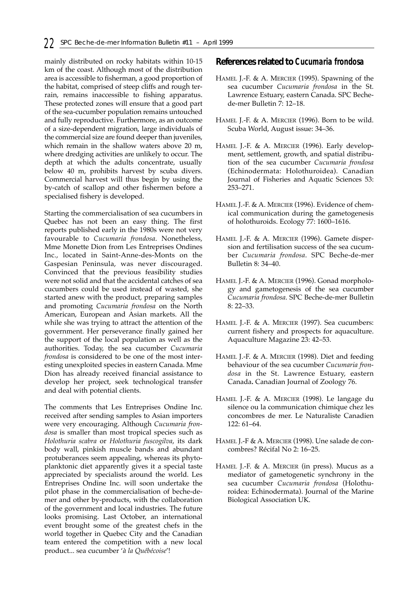mainly distributed on rocky habitats within 10-15 km of the coast. Although most of the distribution area is accessible to fisherman, a good proportion of the habitat, comprised of steep cliffs and rough terrain, remains inaccessible to fishing apparatus. These protected zones will ensure that a good part of the sea-cucumber population remains untouched and fully reproductive. Furthermore, as an outcome of a size-dependent migration, large individuals of the commercial size are found deeper than juveniles, which remain in the shallow waters above 20 m, where dredging activities are unlikely to occur. The depth at which the adults concentrate, usually below 40 m, prohibits harvest by scuba divers. Commercial harvest will thus begin by using the by-catch of scallop and other fishermen before a specialised fishery is developed.

Starting the commercialisation of sea cucumbers in Quebec has not been an easy thing. The first reports published early in the 1980s were not very favourable to *Cucumaria frondosa*. Nonetheless, Mme Monette Dion from Les Entreprises Ondines Inc., located in Saint-Anne-des-Monts on the Gaspesian Peninsula, was never discouraged. Convinced that the previous feasibility studies were not solid and that the accidental catches of sea cucumbers could be used instead of wasted, she started anew with the product, preparing samples and promoting *Cucumaria frondosa* on the North American, European and Asian markets. All the while she was trying to attract the attention of the government. Her perseverance finally gained her the support of the local population as well as the authorities. Today, the sea cucumber *Cucumaria frondosa* is considered to be one of the most interesting unexploited species in eastern Canada. Mme Dion has already received financial assistance to develop her project, seek technological transfer and deal with potential clients.

The comments that Les Entreprises Ondine Inc. received after sending samples to Asian importers were very encouraging. Although *Cucumaria frondosa* is smaller than most tropical species such as *Holothuria scabra* or *Holothuria fuscogilva*, its dark body wall, pinkish muscle bands and abundant protuberances seem appealing, whereas its phytoplanktonic diet apparently gives it a special taste appreciated by specialists around the world. Les Entreprises Ondine Inc. will soon undertake the pilot phase in the commercialisation of beche-demer and other by-products, with the collaboration of the government and local industries. The future looks promising. Last October, an international event brought some of the greatest chefs in the world together in Quebec City and the Canadian team entered the competition with a new local product... sea cucumber '*à la Québécoise*'!

### **References related to** *Cucumaria frondosa*

- HAMEL J.-F. & A. MERCIER (1995). Spawning of the sea cucumber *Cucumaria frondosa* in the St. Lawrence Estuary, eastern Canada. SPC Bechede-mer Bulletin 7: 12–18.
- HAMEL J.-F. & A. MERCIER (1996). Born to be wild. Scuba World, August issue: 34–36.
- HAMEL J.-F. & A. MERCIER (1996). Early development, settlement, growth, and spatial distribution of the sea cucumber *Cucumaria frondosa* (Echinodermata: Holothuroidea). Canadian Journal of Fisheries and Aquatic Sciences 53: 253–271.
- HAMEL J.-F. & A. MERCIER (1996). Evidence of chemical communication during the gametogenesis of holothuroids. Ecology 77: 1600–1616.
- HAMEL J.-F. & A. MERCIER (1996). Gamete dispersion and fertilisation success of the sea cucumber *Cucumaria frondosa*. SPC Beche-de-mer Bulletin 8: 34–40.
- HAMEL J.-F. & A. MERCIER (1996). Gonad morphology and gametogenesis of the sea cucumber *Cucumaria frondosa*. SPC Beche-de-mer Bulletin 8: 22–33.
- HAMEL J.-F. & A. MERCIER (1997). Sea cucumbers: current fishery and prospects for aquaculture. Aquaculture Magazine 23: 42–53.
- HAMEL J.-F. & A. MERCIER (1998). Diet and feeding behaviour of the sea cucumber *Cucumaria frondosa* in the St. Lawrence Estuary, eastern Canada**.** Canadian Journal of Zoology 76.
- HAMEL J.-F. & A. MERCIER (1998). Le langage du silence ou la communication chimique chez les concombres de mer. Le Naturaliste Canadien 122: 61–64.
- HAMEL J.-F & A. MERCIER (1998). Une salade de concombres? Récifal No 2: 16–25.
- HAMEL J.-F. & A. MERCIER (in press). Mucus as a mediator of gametogenetic synchrony in the sea cucumber *Cucumaria frondosa* (Holothuroidea: Echinodermata). Journal of the Marine Biological Association UK.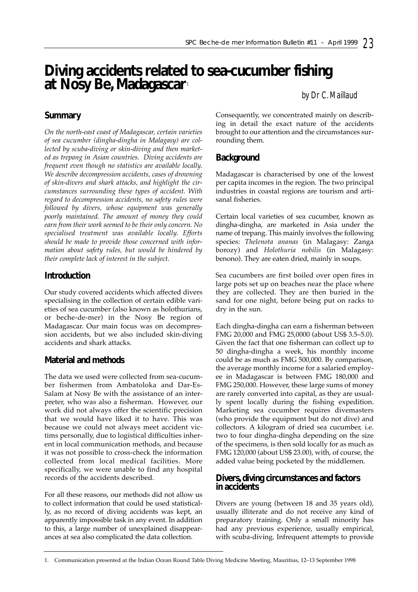# **Diving accidents related to sea-cucumber fishing at Nosy Be, Madagascar** <sup>1</sup>

## *by Dr C. Maillaud*

# **Summary**

*On the north-east coast of Madagascar, certain varieties of sea cucumber (dingha-dingha in Malagasy) are collected by scuba-diving or skin-diving and then marketed as trepang in Asian countries. Diving accidents are frequent even though no statistics are available locally. We describe decompression accidents, cases of drowning of skin-divers and shark attacks, and highlight the circumstances surrounding these types of accident. With regard to decompression accidents, no safety rules were followed by divers, whose equipment was generally poorly maintained. The amount of money they could earn from their work seemed to be their only concern. No specialised treatment was available locally. Efforts should be made to provide those concerned with information about safety rules, but would be hindered by their complete lack of interest in the subject.*

# **Introduction**

Our study covered accidents which affected divers specialising in the collection of certain edible varieties of sea cucumber (also known as holothurians, or beche-de-mer) in the Nosy Be region of Madagascar. Our main focus was on decompression accidents, but we also included skin-diving accidents and shark attacks.

# **Material and methods**

The data we used were collected from sea-cucumber fishermen from Ambatoloka and Dar-Es-Salam at Nosy Be with the assistance of an interpreter, who was also a fisherman. However, our work did not always offer the scientific precision that we would have liked it to have. This was because we could not always meet accident victims personally, due to logistical difficulties inherent in local communication methods, and because it was not possible to cross-check the information collected from local medical facilities. More specifically, we were unable to find any hospital records of the accidents described.

For all these reasons, our methods did not allow us to collect information that could be used statistically, as no record of diving accidents was kept, an apparently impossible task in any event. In addition to this, a large number of unexplained disappearances at sea also complicated the data collection.

Consequently, we concentrated mainly on describing in detail the exact nature of the accidents brought to our attention and the circumstances surrounding them.

# **Background**

Madagascar is characterised by one of the lowest per capita incomes in the region. The two principal industries in coastal regions are tourism and artisanal fisheries.

Certain local varieties of sea cucumber, known as dingha-dingha, are marketed in Asia under the name of trepang. This mainly involves the following species: *Thelenota ananas* (in Malagasy: Zanga borozy) and *Holothuria nobilis* (in Malagasy: benono). They are eaten dried, mainly in soups.

Sea cucumbers are first boiled over open fires in large pots set up on beaches near the place where they are collected. They are then buried in the sand for one night, before being put on racks to dry in the sun.

Each dingha-dingha can earn a fisherman between FMG 20,000 and FMG 25,0000 (about US\$ 3.5–5.0). Given the fact that one fisherman can collect up to 50 dingha-dingha a week, his monthly income could be as much as FMG 500,000. By comparison, the average monthly income for a salaried employee in Madagascar is between FMG 180,000 and FMG 250,000. However, these large sums of money are rarely converted into capital, as they are usually spent locally during the fishing expedition. Marketing sea cucumber requires divemasters (who provide the equipment but do not dive) and collectors. A kilogram of dried sea cucumber, i.e. two to four dingha-dingha depending on the size of the specimens, is then sold locally for as much as FMG 120,000 (about US\$ 23.00), with, of course, the added value being pocketed by the middlemen.

## **Divers, diving circumstances and factors in accidents**

Divers are young (between 18 and 35 years old), usually illiterate and do not receive any kind of preparatory training. Only a small minority has had any previous experience, usually empirical, with scuba-diving. Infrequent attempts to provide

<sup>1.</sup> Communication presented at the Indian Ocean Round Table Diving Medicine Meeting, Mauritius, 12–13 September 1998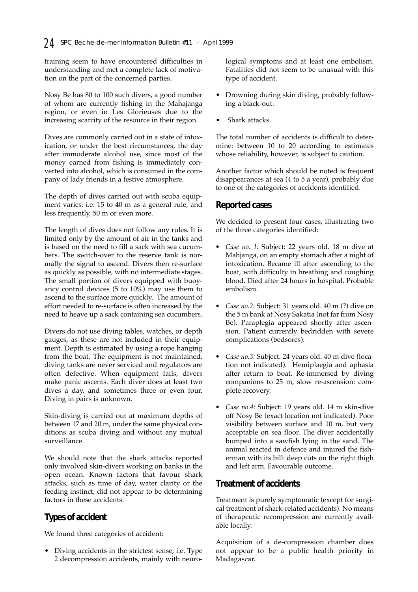training seem to have encountered difficulties in understanding and met a complete lack of motivation on the part of the concerned parties.

Nosy Be has 80 to 100 such divers, a good number of whom are currently fishing in the Mahajanga region, or even in Les Glorieuses due to the increasing scarcity of the resource in their region.

Dives are commonly carried out in a state of intoxication, or under the best circumstances, the day after immoderate alcohol use, since most of the money earned from fishing is immediately converted into alcohol, which is consumed in the company of lady friends in a festive atmosphere.

The depth of dives carried out with scuba equipment varies: i.e. 15 to 40 m as a general rule, and less frequently, 50 m or even more.

The length of dives does not follow any rules. It is limited only by the amount of air in the tanks and is based on the need to fill a sack with sea cucumbers. The switch-over to the reserve tank is normally the signal to ascend. Divers then re-surface as quickly as possible, with no intermediate stages. The small portion of divers equipped with buoyancy control devices (5 to 10%) may use them to ascend to the surface more quickly. The amount of effort needed to re-surface is often increased by the need to heave up a sack containing sea cucumbers.

Divers do not use diving tables, watches, or depth gauges, as these are not included in their equipment. Depth is estimated by using a rope hanging from the boat. The equipment is not maintained, diving tanks are never serviced and regulators are often defective. When equipment fails, divers make panic ascents. Each diver does at least two dives a day, and sometimes three or even four. Diving in pairs is unknown.

Skin-diving is carried out at maximum depths of between 17 and 20 m, under the same physical conditions as scuba diving and without any mutual surveillance.

We should note that the shark attacks reported only involved skin-divers working on banks in the open ocean. Known factors that favour shark attacks, such as time of day, water clarity or the feeding instinct, did not appear to be determining factors in these accidents.

# **Types of accident**

We found three categories of accident:

• Diving accidents in the strictest sense, i.e. Type 2 decompression accidents, mainly with neurological symptoms and at least one embolism. Fatalities did not seem to be unusual with this type of accident.

- Drowning during skin diving, probably following a black-out.
- Shark attacks.

The total number of accidents is difficult to determine: between 10 to 20 according to estimates whose reliability, however, is subject to caution.

Another factor which should be noted is frequent disappearances at sea (4 to 5 a year), probably due to one of the categories of accidents identified.

## **Reported cases**

We decided to present four cases, illustrating two of the three categories identified:

- *Case no. 1:* Subject: 22 years old. 18 m dive at Mahjanga, on an empty stomach after a night of intoxication. Became ill after ascending to the boat, with difficulty in breathing and coughing blood. Died after 24 hours in hospital. Probable embolism.
- *Case no.2:* Subject: 31 years old. 40 m (?) dive on the 5 m bank at Nosy Sakatia (not far from Nosy Be). Paraplegia appeared shortly after ascension. Patient currently bedridden with severe complications (bedsores).
- *Case no.3:* Subject: 24 years old. 40 m dive (location not indicated). Hemiplaegia and aphasia after return to boat. Re-immersed by diving companions to 25 m, slow re-ascension: complete recovery.
- *Case no.4:* Subject: 19 years old. 14 m skin-dive off Nosy Be (exact location not indicated). Poor visibility between surface and 10 m, but very acceptable on sea floor. The diver accidentally bumped into a sawfish lying in the sand. The animal reacted in defence and injured the fisherman with its bill: deep cuts on the right thigh and left arm. Favourable outcome.

# **Treatment of accidents**

Treatment is purely symptomatic (except for surgical treatment of shark-related accidents). No means of therapeutic recompression are currently available locally.

Acquisition of a de-compression chamber does not appear to be a public health priority in Madagascar.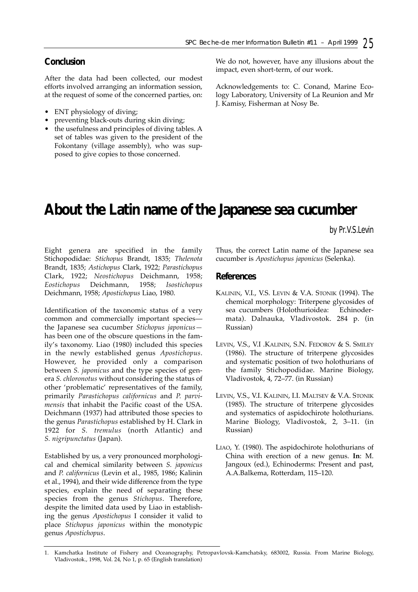# **Conclusion**

After the data had been collected, our modest efforts involved arranging an information session, at the request of some of the concerned parties, on:

- ENT physiology of diving;
- preventing black-outs during skin diving;
- the usefulness and principles of diving tables. A set of tables was given to the president of the Fokontany (village assembly), who was supposed to give copies to those concerned.

We do not, however, have any illusions about the impact, even short-term, of our work.

Acknowledgements to: C. Conand, Marine Ecology Laboratory, University of La Reunion and Mr J. Kamisy, Fisherman at Nosy Be.

# **About the Latin name of the Japanese sea cucumber**

*by Pr.V.S.Levin*

Eight genera are specified in the family Stichopodidae: *Stichopus* Brandt, 1835; *Thelenota* Brandt, 1835; *Astichopus* Clark, 1922; *Parastichopus* Clark, 1922; *Neostichopus* Deichmann, 1958; *Eostichopus* Deichmann, 1958; *Isostichopus* Deichmann, 1958; *Apostichopus* Liao, 1980.

Identification of the taxonomic status of a very common and commercially important species the Japanese sea cucumber *Stichopus japonicus* has been one of the obscure questions in the family's taxonomy. Liao (1980) included this species in the newly established genus *Apostichopus*. However, he provided only a comparison between *S. japonicus* and the type species of genera *S. chloronotus* without considering the status of other 'problematic' representatives of the family, primarily *Parastichopus californicus* and *P. parvimensis* that inhabit the Pacific coast of the USA. Deichmann (1937) had attributed those species to the genus *Parastichopus* established by H. Clark in 1922 for *S. tremulus* (north Atlantic) and *S. nigripunctatus* (Japan).

Established by us, a very pronounced morphological and chemical similarity between *S. japonicus* and *P. californicus* (Levin et al., 1985, 1986; Kalinin et al., 1994), and their wide difference from the type species, explain the need of separating these species from the genus *Stichopus*. Therefore, despite the limited data used by Liao in establishing the genus *Apostichopus* I consider it valid to place *Stichopus japonicus* within the monotypic genus *Apostichopus*.

Thus, the correct Latin name of the Japanese sea cucumber is *Apostichopus japonicus* (Selenka).

## **References**

- KALININ, V.I., V.S. LEVIN & V.A. STONIK (1994). The chemical morphology: Triterpene glycosides of sea cucumbers (Holothurioidea: Echinodermata). Dalnauka, Vladivostok. 284 p. (in Russian)
- LEVIN, V.S., V.I .KALININ, S.N. FEDOROV & S. SMILEY (1986). The structure of triterpene glycosides and systematic position of two holothurians of the family Stichopodidae. Marine Biology, Vladivostok, 4, 72–77. (in Russian)
- LEVIN, V.S., V.I. KALININ, I.I. MALTSEV & V.A. STONIK (1985). The structure of triterpene glycosides and systematics of aspidochirote holothurians. Marine Biology, Vladivostok, 2, 3–11. (in Russian)
- LIAO, Y. (1980). The aspidochirote holothurians of China with erection of a new genus. **In**: M. Jangoux (ed.), Echinoderms: Present and past, A.A.Balkema, Rotterdam, 115–120.

<sup>1.</sup> Kamchatka Institute of Fishery and Oceanography, Petropavlovsk-Kamchatsky, 683002, Russia. From Marine Biology, Vladivostok., 1998, Vol. 24, No 1, p. 65 (English translation)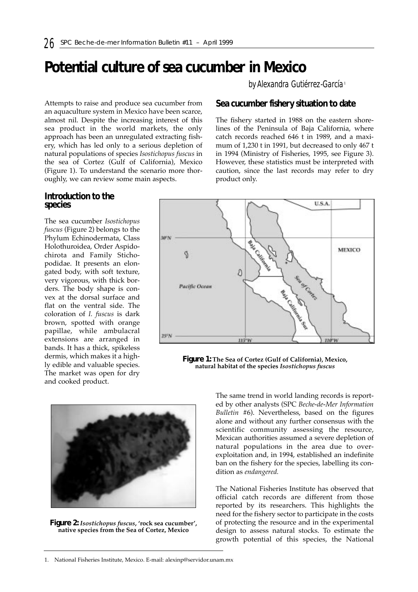# **Potential culture of sea cucumber in Mexico**

Attempts to raise and produce sea cucumber from an aquaculture system in Mexico have been scarce, almost nil. Despite the increasing interest of this sea product in the world markets, the only approach has been an unregulated extracting fishery, which has led only to a serious depletion of natural populations of species *Isostichopus fuscus* in the sea of Cortez (Gulf of California), Mexico (Figure 1). To understand the scenario more thoroughly, we can review some main aspects.

## **Introduction to the species**

The sea cucumber *Isostichopus fuscus* (Figure 2) belongs to the Phylum Echinodermata, Class Holothuroidea, Order Aspidochirota and Family Stichopodidae. It presents an elongated body, with soft texture, very vigorous, with thick borders. The body shape is convex at the dorsal surface and flat on the ventral side. The coloration of *I. fuscus* is dark brown, spotted with orange papillae, while ambulacral extensions are arranged in bands. It has a thick, spikeless dermis, which makes it a highly edible and valuable species. The market was open for dry and cooked product.



product only.

**Sea cucumber fishery situation to date**

The fishery started in 1988 on the eastern shorelines of the Peninsula of Baja California, where catch records reached 646 t in 1989, and a maximum of 1,230 t in 1991, but decreased to only 467 t in 1994 (Ministry of Fisheries, 1995, see Figure 3). However, these statistics must be interpreted with caution, since the last records may refer to dry

*by Alexandra Gutiérrez-García* <sup>1</sup>

**Figure 1: The Sea of Cortez (Gulf of California), Mexico, natural habitat of the species** *Isostichopus fuscus*

335716



**Figure 2:** *Isostichopus fuscus***, 'rock sea cucumber', native species from the Sea of Cortez, Mexico**

The same trend in world landing records is reported by other analysts (SPC *Beche-de-Mer Information Bulletin* #6). Nevertheless, based on the figures alone and without any further consensus with the scientific community assessing the resource, Mexican authorities assumed a severe depletion of natural populations in the area due to overexploitation and, in 1994, established an indefinite ban on the fishery for the species, labelling its condition as *endangered.*

**220°W** 

The National Fisheries Institute has observed that official catch records are different from those reported by its researchers. This highlights the need for the fishery sector to participate in the costs of protecting the resource and in the experimental design to assess natural stocks. To estimate the growth potential of this species, the National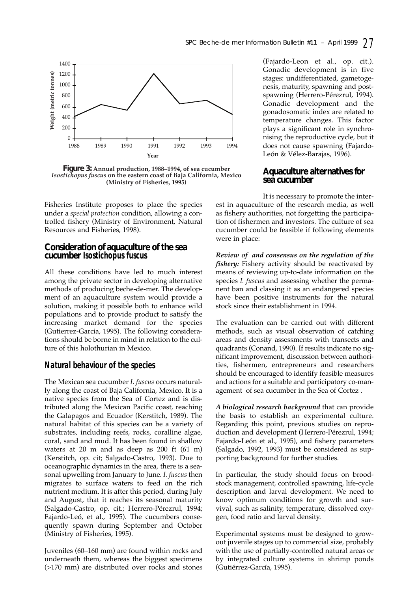

**Figure 3: Annual production, 1988–1994, of sea cucumber**  *Isostichopus fuscus* **on the eastern coast of Baja California, Mexico (Ministry of Fisheries, 1995)**

Fisheries Institute proposes to place the species under a *special protection* condition, allowing a controlled fishery (Ministry of Environment, Natural Resources and Fisheries, 1998).

#### **Consideration of aquaculture of the sea cucumber** *Isostichopus fuscus*

All these conditions have led to much interest among the private sector in developing alternative methods of producing beche-de-mer. The development of an aquaculture system would provide a solution, making it possible both to enhance wild populations and to provide product to satisfy the increasing market demand for the species (Gutierrez-Garcia, 1995). The following considerations should be borne in mind in relation to the culture of this holothurian in Mexico.

## *Natural behaviour of the species*

The Mexican sea cucumber *I. fuscus* occurs naturally along the coast of Baja California, Mexico. It is a native species from the Sea of Cortez and is distributed along the Mexican Pacific coast, reaching the Galapagos and Ecuador (Kerstitch, 1989). The natural habitat of this species can be a variety of substrates, including reefs, rocks, coralline algae, coral, sand and mud. It has been found in shallow waters at 20 m and as deep as 200 ft (61 m) (Kerstitch, op. cit; Salgado-Castro, 1993). Due to oceanographic dynamics in the area, there is a seasonal upwelling from January to June*. I. fuscus* then migrates to surface waters to feed on the rich nutrient medium. It is after this period, during July and August, that it reaches its seasonal maturity (Salgado-Castro, op. cit.; Herrero-Pérezrul, 1994; Fajardo-Leó, et al., 1995). The cucumbers consequently spawn during September and October (Ministry of Fisheries, 1995).

Juveniles (60–160 mm) are found within rocks and underneath them, whereas the biggest specimens (>170 mm) are distributed over rocks and stones

(Fajardo-Leon et al., op. cit*.*). Gonadic development is in five stages: undifferentiated, gametogenesis, maturity, spawning and postspawning (Herrero-Pérezrul, 1994). Gonadic development and the gonadosomatic index are related to temperature changes. This factor plays a significant role in synchronising the reproductive cycle, but it does not cause spawning (Fajardo-León & Vélez-Barajas, 1996).

## **Aquaculture alternatives for sea cucumber**

It is necessary to promote the interest in aquaculture of the research media, as well as fishery authorities, not forgetting the participation of fishermen and investors. The culture of sea cucumber could be feasible if following elements were in place:

*Review of and consensus on the regulation of the fishery:* Fishery activity should be reactivated by means of reviewing up-to-date information on the species *I. fuscus* and assessing whether the permanent ban and classing it as an endangered species have been positive instruments for the natural stock since their establishment in 1994.

The evaluation can be carried out with different methods, such as visual observation of catching areas and density assessments with transects and quadrants (Conand, 1990). If results indicate no significant improvement, discussion between authorities, fishermen, entrepreneurs and researchers should be encouraged to identify feasible measures and actions for a suitable and participatory co-management of sea cucumber in the Sea of Cortez .

*A biological research background* that can provide the basis to establish an experimental culture. Regarding this point, previous studies on reproduction and development (Herrero-Pérezrul, 1994; Fajardo-León et al., 1995), and fishery parameters (Salgado, 1992, 1993) must be considered as supporting background for further studies.

In particular, the study should focus on broodstock management, controlled spawning, life-cycle description and larval development. We need to know optimum conditions for growth and survival, such as salinity, temperature, dissolved oxygen, food ratio and larval density.

Experimental systems must be designed to growout juvenile stages up to commercial size, probably with the use of partially-controlled natural areas or by integrated culture systems in shrimp ponds (Gutiérrez-García, 1995).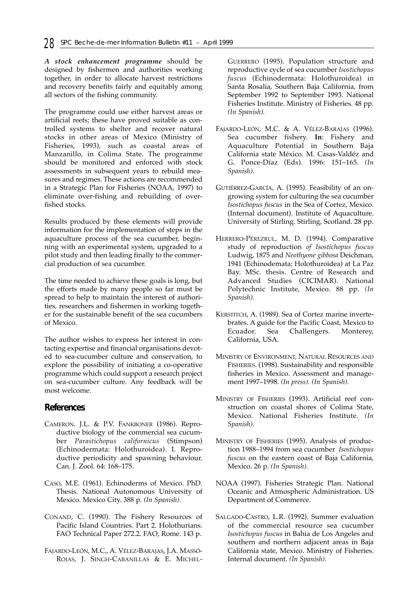*A stock enhancement programme* should be designed by fishermen and authorities working together, in order to allocate harvest restrictions and recovery benefits fairly and equitably among all sectors of the fishing community.

The programme could use either harvest areas or artificial reefs; these have proved suitable as controlled systems to shelter and recover natural stocks in other areas of Mexico (Ministry of Fisheries, 1993), such as coastal areas of Manzanillo, in Colima State. The programme should be monitored and enforced with stock assessments in subsequent years to rebuild measures and regimes. These actions are recommended in a Strategic Plan for Fisheries (NOAA, 1997) to eliminate over-fishing and rebuilding of overfished stocks.

Results produced by these elements will provide information for the implementation of steps in the aquaculture process of the sea cucumber, beginning with an experimental system, upgraded to a pilot study and then leading finally to the commercial production of sea cucumber.

The time needed to achieve these goals is long, but the efforts made by many people so far must be spread to help to maintain the interest of authorities, researchers and fishermen in working together for the sustainable benefit of the sea cucumbers of Mexico.

The author wishes to express her interest in contacting expertise and financial organisations devoted to sea-cucumber culture and conservation, to explore the possibility of initiating a co-operative programme which could support a research project on sea-cucumber culture. Any feedback will be most welcome.

### **References**

- CAMERON. J.L. & P.V. FANKBONER (1986). Reproductive biology of the commercial sea cucumber *Parastichopus californicus* (Stimpson) (Echinodermata: Holothuroidea). I. Reproductive periodicity and spawning behaviour. Can. J. Zool. 64: 168–175.
- CASO, M.E. (1961). Echinoderms of Mexico. PhD. Thesis. National Autonomous University of Mexico. Mexico City. 388 p. *(In Spanish).*
- CONAND, C. (1990). The Fishery Resources of Pacific Island Countries. Part 2. Holothurians. FAO Technical Paper 272.2. FAO, Rome. 143 p.
- FAJARDO-LEÓN, M.C., A. VÉLEZ-BARAJAS, J.A. MASSÓ-ROJAS, J. SINGH-CABANILLAS & E. MICHEL-

GUERRERO (1995). Population structure and reproductive cycle of sea cucumber *Isostichopus fuscus* (Echinodermata: Holothuroidea) in Santa Rosalia, Southern Baja California, from September 1992 to September 1993. National Fisheries Institute. Ministry of Fisheries. 48 pp. *(In Spanish).*

- FAJARDO-LEÓN, M.C. & A. VÉLEZ-BARAJAS (1996). Sea cucumber fishery. **In**: Fishery and Aquaculture Potential in Southern Baja California state México. M. Casas-Valdéz and G. Ponce-Díaz (Eds). 1996: 151–165. *(In Spanish).*
- GUTIÉRREZ-GARCÍA, A. (1995). Feasibility of an ongrowing system for culturing the sea cucumber *Isostichopus fuscus* in the Sea of Cortez, Mexico. (Internal document). Institute of Aquaculture. University of Stirling. Stirling, Scotland. 28 pp.
- HERRERO-PÉREZRUL, M. D. (1994). Comparative study of reproduction *of Isostichopus fuscus* Ludwig, 1875 and *Neothyone gibbosa* Deichman, 1941 (Echinodemata; Holothuroidea) at La Paz Bay. MSc. thesis. Centre of Research and Advanced Studies (CICIMAR). National Polytechnic Institute, Mexico. 88 pp. *(In Spanish).*
- KERSTITCH, A. (1989). Sea of Cortez marine invertebrates. A guide for the Pacific Coast, Mexico to Ecuador. Sea Challengers. Monterey, California, USA.
- MINISTRY OF ENVIRONMENT, NATURAL RESOURCES AND FISHERIES. (1998). Sustainability and responsible fisheries in Mexico. Assessment and management 1997–1998. *(In press). (In Spanish).*
- MINISTRY OF FISHERIES (1993). Artificial reef construction on coastal shores of Colima State, Mexico. National Fisheries Institute. *(In Spanish).*
- MINISTRY OF FISHERIES (1995). Analysis of production 1988–1994 from sea cucumber *Isostichopus fuscus* on the eastern coast of Baja California, Mexico. 26 p. *(In Spanish).*
- NOAA (1997). Fisheries Strategic Plan. National Oceanic and Atmospheric Administration. US Department of Commerce.
- SALGADO-CASTRO, L.R. (1992). Summer evaluation of the commercial resource sea cucumber *Isostichopus fuscus* in Bahia de Los Angeles and southern and northern adjacent areas in Baja California state, Mexico. Ministry of Fisheries. Internal document. *(In Spanish).*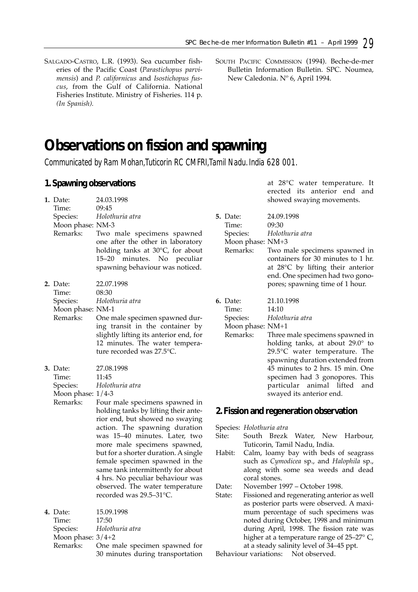SALGADO-CASTRO, L.R. (1993). Sea cucumber fisheries of the Pacific Coast (*Parastichopus parvimensis*) and *P. californicus* and *Isostichopus fuscus*, from the Gulf of California. National Fisheries Institute. Ministry of Fisheries. 114 p. *(In Spanish).*

# **Observations on fission and spawning**

*Communicated by Ram Mohan,Tuticorin RC CMFRI,Tamil Nadu. India 628 001.*

## **1. Spawning observations**

|  | 1. Date:<br>Time:                                    | 24.03.1998<br>09:45                                                                                                                                                                        |                          |
|--|------------------------------------------------------|--------------------------------------------------------------------------------------------------------------------------------------------------------------------------------------------|--------------------------|
|  | Species:<br>Moon phase: NM-3<br>Remarks:             | Holothuria atra<br>Two male specimens spawned<br>one after the other in laboratory<br>holding tanks at 30°C, for about<br>minutes. No peculiar<br>15–20<br>spawning behaviour was noticed. | 5. L<br>T<br>S<br>Ν<br>R |
|  | 2. Date:<br>Time:<br>Species:                        | 22.07.1998<br>08:30<br>Holothuria atra                                                                                                                                                     | 6. L                     |
|  | Moon phase: NM-1<br>Remarks:                         | One male specimen spawned dur-<br>ing transit in the container by<br>slightly lifting its anterior end, for<br>12 minutes. The water tempera-<br>ture recorded was 27.5°C.                 | T<br>S<br>Ν<br>R         |
|  | 3. Date:<br>Time:<br>Species:<br>Moon phase: $1/4-3$ | 27.08.1998<br>11:45<br>Holothuria atra                                                                                                                                                     |                          |
|  | Remarks:                                             | Four male specimens spawned in<br>holding tanks by lifting their ante-<br>rior end, but showed no swaying                                                                                  | 2.F                      |
|  |                                                      | action. The spawning duration<br>was 15-40 minutes. Later, two<br>more male specimens spawned,                                                                                             | Spee<br>Site:            |
|  |                                                      | but for a shorter duration. A single<br>female specimen spawned in the<br>same tank intermittently for about<br>4 hrs. No peculiar behaviour was                                           | Hab                      |
|  |                                                      | observed. The water temperature<br>recorded was 29.5-31°C.                                                                                                                                 | Date<br>State            |
|  | 4. Date:<br>Time:                                    | 15.09.1998<br>17:50                                                                                                                                                                        |                          |

Time: 17:50 Species: *Holothuria atra* Moon phase: 3/4+2 Remarks: One male specimen spawned for

30 minutes during transportation

at 28°C water temperature. It erected its anterior end and showed swaying movements.

| <b>5.</b> Date:  | 24.09.1998                                  |
|------------------|---------------------------------------------|
| Time:            | 09:30                                       |
|                  | Species: Holothuria atra                    |
| Moon phase: NM+3 |                                             |
|                  | Remarks: Two male specimens spawned in      |
|                  | containers for 30 minutes to 1 hr.          |
|                  | at $28^{\circ}$ C by lifting their anterior |
|                  | end. One specimen had two gono-             |
|                  | pores; spawning time of 1 hour.             |
|                  |                                             |

**6.** Date: 21.10.1998

Time: 14:10<br>Species: *Holotl* Species: *Holothuria atra*

*A*oon phase: NM+1<br>Remarks: Three 1 Three male specimens spawned in holding tanks, at about 29.0° to 29.5°C water temperature. The spawning duration extended from 45 minutes to 2 hrs. 15 min. One specimen had 3 gonopores. This particular animal lifted and swayed its anterior end.

### **2. Fission and regeneration observation**

Species: *Holothuria atra*

- South Brezk Water, New Harbour, Tuticorin, Tamil Nadu, India.
- hit: Calm, loamy bay with beds of seagrass such as *Cymodicea* sp., and *Halophila* sp., along with some sea weeds and dead coral stones.

e: November 1997 – October 1998.

e: Fissioned and regenerating anterior as well as posterior parts were observed. A maximum percentage of such specimens was noted during October, 1998 and minimum during April, 1998. The fission rate was higher at a temperature range of 25–27° C, at a steady salinity level of 34–45 ppt.

Behaviour variations: Not observed.

SOUTH PACIFIC COMMISSION (1994). Beche-de-mer Bulletin Information Bulletin. SPC. Noumea, New Caledonia. Nº 6, April 1994.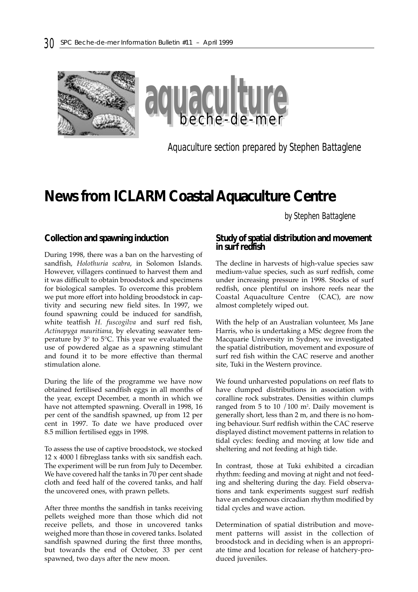

*Aquaculture section prepared by Stephen Battaglene*

# **News from ICLARM Coastal Aquaculture Centre**

*by Stephen Battaglene*

#### **Collection and spawning induction**

During 1998, there was a ban on the harvesting of sandfish, *Holothuria scabra*, in Solomon Islands. However, villagers continued to harvest them and it was difficult to obtain broodstock and specimens for biological samples. To overcome this problem we put more effort into holding broodstock in captivity and securing new field sites. In 1997, we found spawning could be induced for sandfish, white teatfish *H. fuscogilva* and surf red fish, *Actinopyga mauritiana*, by elevating seawater temperature by 3° to 5°C. This year we evaluated the use of powdered algae as a spawning stimulant and found it to be more effective than thermal stimulation alone.

During the life of the programme we have now obtained fertilised sandfish eggs in all months of the year, except December, a month in which we have not attempted spawning. Overall in 1998, 16 per cent of the sandfish spawned, up from 12 per cent in 1997. To date we have produced over 8.5 million fertilised eggs in 1998.

To assess the use of captive broodstock, we stocked 12 x 4000 l fibreglass tanks with six sandfish each. The experiment will be run from July to December. We have covered half the tanks in 70 per cent shade cloth and feed half of the covered tanks, and half the uncovered ones, with prawn pellets.

After three months the sandfish in tanks receiving pellets weighed more than those which did not receive pellets, and those in uncovered tanks weighed more than those in covered tanks. Isolated sandfish spawned during the first three months, but towards the end of October, 33 per cent spawned, two days after the new moon.

#### **Study of spatial distribution and movement in surf redfish**

The decline in harvests of high-value species saw medium-value species, such as surf redfish, come under increasing pressure in 1998. Stocks of surf redfish, once plentiful on inshore reefs near the Coastal Aquaculture Centre (CAC), are now almost completely wiped out.

With the help of an Australian volunteer, Ms Jane Harris, who is undertaking a MSc degree from the Macquarie University in Sydney, we investigated the spatial distribution, movement and exposure of surf red fish within the CAC reserve and another site, Tuki in the Western province.

We found unharvested populations on reef flats to have clumped distributions in association with coralline rock substrates. Densities within clumps ranged from 5 to 10 /100 m2 . Daily movement is generally short, less than 2 m, and there is no homing behaviour. Surf redfish within the CAC reserve displayed distinct movement patterns in relation to tidal cycles: feeding and moving at low tide and sheltering and not feeding at high tide.

In contrast, those at Tuki exhibited a circadian rhythm: feeding and moving at night and not feeding and sheltering during the day. Field observations and tank experiments suggest surf redfish have an endogenous circadian rhythm modified by tidal cycles and wave action.

Determination of spatial distribution and movement patterns will assist in the collection of broodstock and in deciding when is an appropriate time and location for release of hatchery-produced juveniles.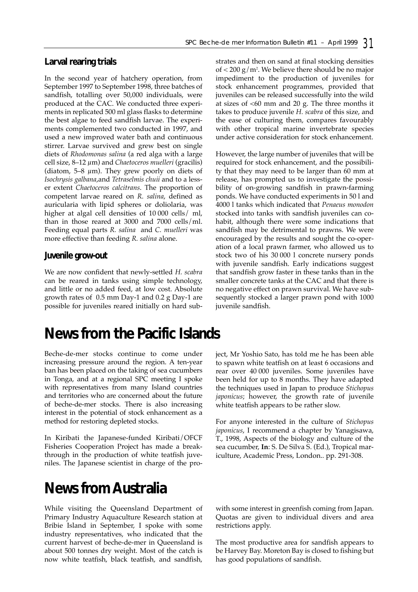# **Larval rearing trials**

In the second year of hatchery operation, from September 1997 to September 1998, three batches of sandfish, totalling over 50,000 individuals, were produced at the CAC. We conducted three experiments in replicated 500 ml glass flasks to determine the best algae to feed sandfish larvae. The experiments complemented two conducted in 1997, and used a new improved water bath and continuous stirrer. Larvae survived and grew best on single diets of *Rhodomonas salina* (a red alga with a large cell size, 8–12 µm) and *Chaetoceros muelleri* (gracilis) (diatom, 5–8  $\mu$ m). They grew poorly on diets of *Isochrysis galbana*,and *Tetraselmis chuii* and to a lesser extent *Chaetoceros calcitrans*. The proportion of competent larvae reared on *R. salina*, defined as auricularia with lipid spheres or doliolaria, was higher at algal cell densities of 10 000 cells/ ml, than in those reared at 3000 and 7000 cells/ml. Feeding equal parts *R. salina* and *C. muelleri* was more effective than feeding *R. salina* alone.

## **Juvenile grow-out**

We are now confident that newly-settled *H. scabra* can be reared in tanks using simple technology, and little or no added feed, at low cost. Absolute growth rates of 0.5 mm Day-1 and 0.2 g Day-1 are possible for juveniles reared initially on hard sub-

# **News from the Pacific Islands**

Beche-de-mer stocks continue to come under increasing pressure around the region. A ten-year ban has been placed on the taking of sea cucumbers in Tonga, and at a regional SPC meeting I spoke with representatives from many Island countries and territories who are concerned about the future of beche-de-mer stocks. There is also increasing interest in the potential of stock enhancement as a method for restoring depleted stocks.

In Kiribati the Japanese-funded Kiribati/OFCF Fisheries Cooperation Project has made a breakthrough in the production of white teatfish juveniles. The Japanese scientist in charge of the pro-

# **News from Australia**

While visiting the Queensland Department of Primary Industry Aquaculture Research station at Bribie Island in September, I spoke with some industry representatives, who indicated that the current harvest of beche-de-mer in Queensland is about 500 tonnes dry weight. Most of the catch is now white teatfish, black teatfish, and sandfish,

strates and then on sand at final stocking densities of  $<$  200 g/m². We believe there should be no major impediment to the production of juveniles for stock enhancement programmes, provided that juveniles can be released successfully into the wild at sizes of  $<60$  mm and 20 g. The three months it takes to produce juvenile *H. scabra* of this size, and the ease of culturing them, compares favourably with other tropical marine invertebrate species under active consideration for stock enhancement.

However, the large number of juveniles that will be required for stock enhancement, and the possibility that they may need to be larger than 60 mm at release, has prompted us to investigate the possibility of on-growing sandfish in prawn-farming ponds. We have conducted experiments in 50 l and 4000 l tanks which indicated that *Penaeus monodon* stocked into tanks with sandfish juveniles can cohabit, although there were some indications that sandfish may be detrimental to prawns. We were encouraged by the results and sought the co-operation of a local prawn farmer, who allowed us to stock two of his 30 000 l concrete nursery ponds with juvenile sandfish. Early indications suggest that sandfish grow faster in these tanks than in the smaller concrete tanks at the CAC and that there is no negative effect on prawn survival. We have subsequently stocked a larger prawn pond with 1000 juvenile sandfish.

ject, Mr Yoshio Sato, has told me he has been able to spawn white teatfish on at least 6 occasions and rear over 40 000 juveniles. Some juveniles have been held for up to 8 months. They have adapted the techniques used in Japan to produce *Stichopus japonicus*; however, the growth rate of juvenile white teatfish appears to be rather slow.

For anyone interested in the culture of *Stichopus japonicus*, I recommend a chapter by Yanagisawa, T., 1998, Aspects of the biology and culture of the sea cucumber, **In**: S. De Silva S. (Ed.), Tropical mariculture, Academic Press, London.. pp. 291-308.

with some interest in greenfish coming from Japan. Quotas are given to individual divers and area restrictions apply.

The most productive area for sandfish appears to be Harvey Bay. Moreton Bay is closed to fishing but has good populations of sandfish.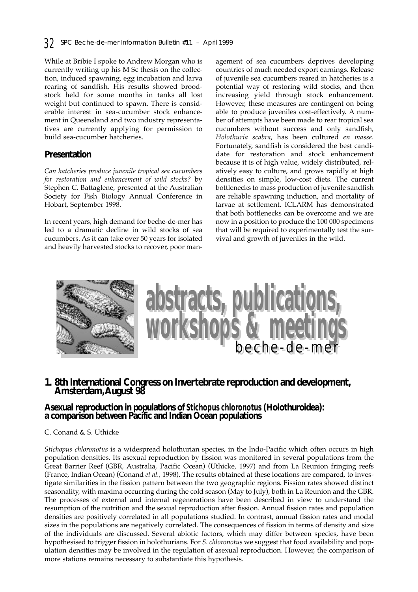While at Bribie I spoke to Andrew Morgan who is currently writing up his M Sc thesis on the collection, induced spawning, egg incubation and larva rearing of sandfish. His results showed broodstock held for some months in tanks all lost weight but continued to spawn. There is considerable interest in sea-cucumber stock enhancement in Queensland and two industry representatives are currently applying for permission to build sea-cucumber hatcheries.

## **Presentation**

*Can hatcheries produce juvenile tropical sea cucumbers for restoration and enhancement of wild stocks?* by Stephen C. Battaglene, presented at the Australian Society for Fish Biology Annual Conference in Hobart, September 1998.

In recent years, high demand for beche-de-mer has led to a dramatic decline in wild stocks of sea cucumbers. As it can take over 50 years for isolated and heavily harvested stocks to recover, poor man-

agement of sea cucumbers deprives developing countries of much needed export earnings. Release of juvenile sea cucumbers reared in hatcheries is a potential way of restoring wild stocks, and then increasing yield through stock enhancement. However, these measures are contingent on being able to produce juveniles cost-effectively. A number of attempts have been made to rear tropical sea cucumbers without success and only sandfish, *Holothuria scabra*, has been cultured *en masse*. Fortunately, sandfish is considered the best candidate for restoration and stock enhancement because it is of high value, widely distributed, relatively easy to culture, and grows rapidly at high densities on simple, low-cost diets. The current bottlenecks to mass production of juvenile sandfish are reliable spawning induction, and mortality of larvae at settlement. ICLARM has demonstrated that both bottlenecks can be overcome and we are now in a position to produce the 100 000 specimens that will be required to experimentally test the survival and growth of juveniles in the wild.



# **1. 8th International Congress on Invertebrate reproduction and development, Amsterdam,August 98**

## **Asexual reproduction in populations of** *Stichopus chloronotus* **(Holothuroidea): a comparison between Pacific and Indian Ocean populations**

#### C. Conand & S. Uthicke

*Stichopus chloronotus* is a widespread holothurian species, in the Indo-Pacific which often occurs in high population densities. Its asexual reproduction by fission was monitored in several populations from the Great Barrier Reef (GBR, Australia, Pacific Ocean) (Uthicke, 1997) and from La Reunion fringing reefs (France, Indian Ocean) (Conand *et al.,* 1998). The results obtained at these locations are compared, to investigate similarities in the fission pattern between the two geographic regions. Fission rates showed distinct seasonality, with maxima occurring during the cold season (May to July), both in La Reunion and the GBR. The processes of external and internal regenerations have been described in view to understand the resumption of the nutrition and the sexual reproduction after fission. Annual fission rates and population densities are positively correlated in all populations studied. In contrast, annual fission rates and modal sizes in the populations are negatively correlated. The consequences of fission in terms of density and size of the individuals are discussed. Several abiotic factors, which may differ between species, have been hypothesised to trigger fission in holothurians. For *S. chloronotus* we suggest that food availability and population densities may be involved in the regulation of asexual reproduction. However, the comparison of more stations remains necessary to substantiate this hypothesis.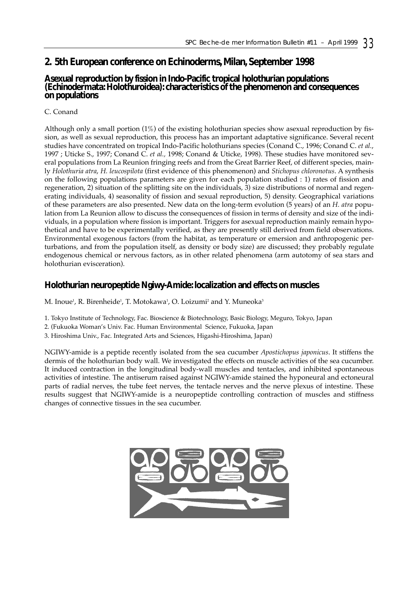# **2. 5th European conference on Echinoderms, Milan, September 1998**

## **Asexual reproduction by fission in Indo-Pacific tropical holothurian populations (Echinodermata: Holothuroidea): characteristics of the phenomenon and consequences on populations**

### C. Conand

Although only a small portion  $(1\%)$  of the existing holothurian species show asexual reproduction by fission, as well as sexual reproduction, this process has an important adaptative significance. Several recent studies have concentrated on tropical Indo-Pacific holothurians species (Conand C., 1996; Conand C. *et al.*, 1997 ; Uticke S., 1997; Conand C. *et al.,* 1998; Conand & Uticke, 1998). These studies have monitored several populations from La Reunion fringing reefs and from the Great Barrier Reef, of different species, mainly *Holothuria atra*, *H. leucospilota* (first evidence of this phenomenon) and *Stichopus chloronotus*. A synthesis on the following populations parameters are given for each population studied : 1) rates of fission and regeneration, 2) situation of the splitting site on the individuals, 3) size distributions of normal and regenerating individuals, 4) seasonality of fission and sexual reproduction, 5) density. Geographical variations of these parameters are also presented. New data on the long-term evolution (5 years) of an *H. atra* population from La Reunion allow to discuss the consequences of fission in terms of density and size of the individuals, in a population where fission is important. Triggers for asexual reproduction mainly remain hypothetical and have to be experimentally verified, as they are presently still derived from field observations. Environmental exogenous factors (from the habitat, as temperature or emersion and anthropogenic perturbations, and from the population itself, as density or body size) are discussed; they probably regulate endogenous chemical or nervous factors, as in other related phenomena (arm autotomy of sea stars and holothurian evisceration).

## **Holothurian neuropeptide Ngiwy-Amide: localization and effects on muscles**

M. Inoue<sup>1</sup>, R. Birenheide<sup>1</sup>, T. Motokawa<sup>1</sup>, O. Loizumi<sup>2</sup> and Y. Muneoka<sup>3</sup>

- 1. Tokyo Institute of Technology, Fac. Bioscience & Biotechnology, Basic Biology, Meguro, Tokyo, Japan
- 2. (Fukuoka Woman's Univ. Fac. Human Environmental Science, Fukuoka, Japan
- 3. Hiroshima Univ., Fac. Integrated Arts and Sciences, Higashi-Hiroshima, Japan)

NGIWY-amide is a peptide recently isolated from the sea cucumber *Apostichopus japonicus*. It stiffens the dermis of the holothurian body wall. We investigated the effects on muscle activities of the sea cucumber. It induced contraction in the longitudinal body-wall muscles and tentacles, and inhibited spontaneous activities of intestine. The antiserum raised against NGIWY-amide stained the hyponeural and ectoneural parts of radial nerves, the tube feet nerves, the tentacle nerves and the nerve plexus of intestine. These results suggest that NGIWY-amide is a neuropeptide controlling contraction of muscles and stiffness changes of connective tissues in the sea cucumber.

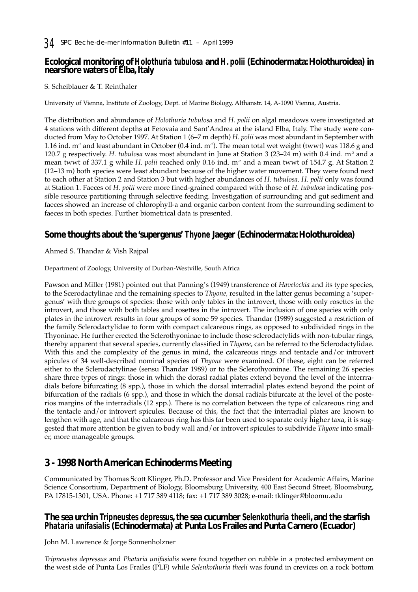# **Ecological monitoring of** *Holothuria tubulosa* **and** *H. polii* **(Echinodermata: Holothuroidea) in nearshore waters of Elba, Italy**

## S. Scheiblauer & T. Reinthaler

University of Vienna, Institute of Zoology, Dept. of Marine Biology, Althanstr. 14, A-1090 Vienna, Austria.

The distribution and abundance of *Holothuria tubulosa* and *H. polii* on algal meadows were investigated at 4 stations with different depths at Fetovaia and Sant'Andrea at the island Elba, Italy. The study were conducted from May to October 1997. At Station 1 (6–7 m depth) *H. polii* was most abundant in September with 1.16 ind.  $m^2$  and least abundant in October (0.4 ind.  $m^2$ ). The mean total wet weight (twwt) was 118.6 g and 120.7 g respectively. *H. tubulosa* was most abundant in June at Station 3 (23–24 m) with 0.4 ind. m-2 and a mean twwt of 337.1 g while *H. polii* reached only 0.16 ind. m<sup>2</sup> and a mean twwt of 154.7 g. At Station 2 (12–13 m) both species were least abundant because of the higher water movement. They were found next to each other at Station 2 and Station 3 but with higher abundances of *H. tubulosa*. *H. polii* only was found at Station 1. Faeces of *H. polii* were more fined-grained compared with those of *H. tubulosa* indicating possible resource partitioning through selective feeding. Investigation of surrounding and gut sediment and faeces showed an increase of chlorophyll-a and organic carbon content from the surrounding sediment to faeces in both species. Further biometrical data is presented.

# **Some thoughts about the 'supergenus'** *Thyone* **Jaeger (Echinodermata: Holothuroidea)**

Ahmed S. Thandar & Vish Rajpal

Department of Zoology, University of Durban-Westville, South Africa

Pawson and Miller (1981) pointed out that Panning's (1949) transference of *Havelockia* and its type species, to the Scerodactylinae and the remaining species to *Thyone,* resulted in the latter genus becoming a 'supergenus' with thre groups of species: those with only tables in the introvert, those with only rosettes in the introvert, and those with both tables and rosettes in the introvert. The inclusion of one species with only plates in the introvert results in four groups of some 59 species. Thandar (1989) suggested a restriction of the family Sclerodactylidae to form with compact calcareous rings, as opposed to subdivided rings in the Thyoninae. He further erected the Sclerothyoninae to include those sclerodactylids with non-tubular rings, thereby apparent that several species, currently classified in *Thyone*, can be referred to the Sclerodactylidae. With this and the complexity of the genus in mind, the calcareous rings and tentacle and/or introvert spicules of 34 well-described nominal species of *Thyone* were examined. Of these, eight can be referred either to the Sclerodactylinae (sensu Thandar 1989) or to the Sclerothyoninae. The remaining 26 species share three types of rings: those in which the dorasl radial plates extend beyond the level of the interrradials before bifurcating (8 spp.), those in which the dorsal interradial plates extend beyond the point of bifurcation of the radials (6 spp.), and those in which the dorsal radials bifurcate at the level of the posterios margins of the interradials (12 spp.). There is no correlation between the type of calcareous ring and the tentacle and/or introvert spicules. Because of this, the fact that the interradial plates are known to lengthen with age, and that the calcareous ring has this far been used to separate only higher taxa, it is suggested that more attention be given to body wall and/or introvert spicules to subdivide *Thyone* into smaller, more manageable groups.

# **3 - 1998 North American Echinoderms Meeting**

Communicated by Thomas Scott Klinger, Ph.D. Professor and Vice President for Academic Affairs, Marine Science Consortium, Department of Biology, Bloomsburg University, 400 East Second Street, Bloomsburg, PA 17815-1301, USA. Phone: +1 717 389 4118; fax: +1 717 389 3028; e-mail: tklinger@bloomu.edu

# **The sea urchin** *Tripneustes depressus***, the sea cucumber** *Selenkothuria theeli***, and the starfish** *Phataria unifasialis* **(Echinodermata) at Punta Los Frailes and Punta Carnero (Ecuador)**

John M. Lawrence & Jorge Sonnenholzner

*Tripneustes depressus* and *Phataria unifasialis* were found together on rubble in a protected embayment on the west side of Punta Los Frailes (PLF) while *Selenkothuria theeli* was found in crevices on a rock bottom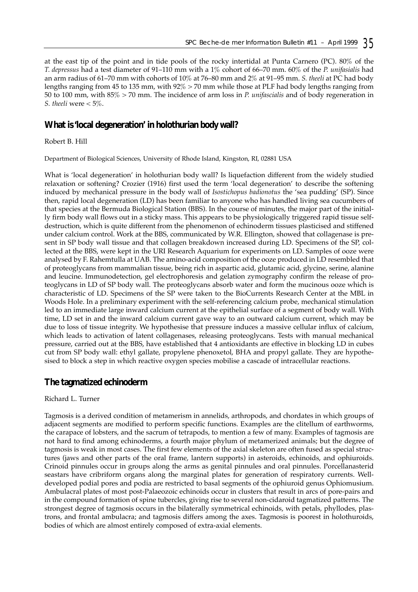at the east tip of the point and in tide pools of the rocky intertidal at Punta Carnero (PC). 80% of the *T. depressus* had a test diameter of 91–110 mm with a 1% cohort of 66–70 mm. 60% of the *P. unifasialis* had an arm radius of 61–70 mm with cohorts of 10% at 76–80 mm and 2% at 91–95 mm. *S. theeli* at PC had body lengths ranging from 45 to 135 mm, with 92% > 70 mm while those at PLF had body lengths ranging from 50 to 100 mm, with 85% > 70 mm. The incidence of arm loss in *P. unifascialis* and of body regeneration in *S. theeli* were < 5%.

## **What is 'local degeneration' in holothurian body wall?**

Robert B. Hill

Department of Biological Sciences, University of Rhode Island, Kingston, RI, 02881 USA

What is 'local degeneration' in holothurian body wall? Is liquefaction different from the widely studied relaxation or softening? Crozier (1916) first used the term 'local degeneration' to describe the softening induced by mechanical pressure in the body wall of *Isostichopus badionotus* the 'sea pudding' (SP). Since then, rapid local degeneration (LD) has been familiar to anyone who has handled living sea cucumbers of that species at the Bermuda Biological Station (BBS). In the course of minutes, the major part of the initially firm body wall flows out in a sticky mass. This appears to be physiologically triggered rapid tissue selfdestruction, which is quite different from the phenomenon of echinoderm tissues plasticised and stiffened under calcium control. Work at the BBS, communicated by W.R. Ellington, showed that collagenase is present in SP body wall tissue and that collagen breakdown increased during LD. Specimens of the SP, collected at the BBS, were kept in the URI Research Aquarium for experiments on LD. Samples of ooze were analysed by F. Rahemtulla at UAB. The amino-acid composition of the ooze produced in LD resembled that of proteoglycans from mammalian tissue, being rich in aspartic acid, glutamic acid, glycine, serine, alanine and leucine. Immunodetection, gel electrophoresis and gelation zymography confirm the release of proteoglycans in LD of SP body wall. The proteoglycans absorb water and form the mucinous ooze which is characteristic of LD. Specimens of the SP were taken to the BioCurrents Research Center at the MBL in Woods Hole. In a preliminary experiment with the self-referencing calcium probe, mechanical stimulation led to an immediate large inward calcium current at the epithelial surface of a segment of body wall. With time, LD set in and the inward calcium current gave way to an outward calcium current, which may be due to loss of tissue integrity. We hypothesise that pressure induces a massive cellular influx of calcium, which leads to activation of latent collagenases, releasing proteoglycans. Tests with manual mechanical pressure, carried out at the BBS, have established that 4 antioxidants are effective in blocking LD in cubes cut from SP body wall: ethyl gallate, propylene phenoxetol, BHA and propyl gallate. They are hypothesised to block a step in which reactive oxygen species mobilise a cascade of intracellular reactions.

# **The tagmatized echinoderm**

### Richard L. Turner

Tagmosis is a derived condition of metamerism in annelids, arthropods, and chordates in which groups of adjacent segments are modified to perform specific functions. Examples are the clitellum of earthworms, the carapace of lobsters, and the sacrum of tetrapods, to mention a few of many. Examples of tagmosis are not hard to find among echinoderms, a fourth major phylum of metamerized animals; but the degree of tagmosis is weak in most cases. The first few elements of the axial skeleton are often fused as special structures (jaws and other parts of the oral frame, lantern supports) in asteroids, echinoids, and ophiuroids. Crinoid pinnules occur in groups along the arms as genital pinnules and oral pinnules. Porcellanasterid seastars have cribriform organs along the marginal plates for generation of respiratory currents. Welldeveloped podial pores and podia are restricted to basal segments of the ophiuroid genus Ophiomusium. Ambulacral plates of most post-Palaeozoic echinoids occur in clusters that result in arcs of pore-pairs and in the compound formation of spine tubercles, giving rise to several non-cidaroid tagmatized patterns. The strongest degree of tagmosis occurs in the bilaterally symmetrical echinoids, with petals, phyllodes, plastrons, and frontal ambulacra; and tagmosis differs among the axes. Tagmosis is poorest in holothuroids, bodies of which are almost entirely composed of extra-axial elements.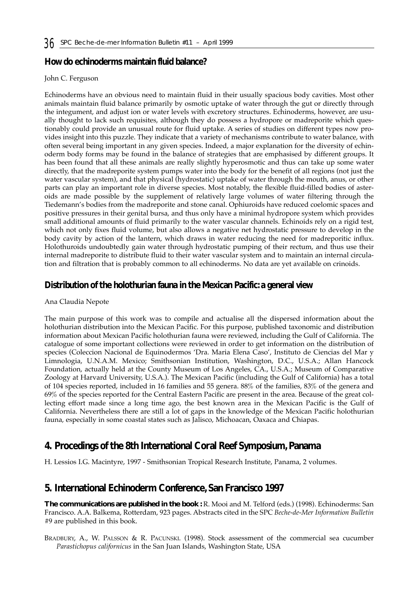# **How do echinoderms maintain fluid balance?**

#### John C. Ferguson

Echinoderms have an obvious need to maintain fluid in their usually spacious body cavities. Most other animals maintain fluid balance primarily by osmotic uptake of water through the gut or directly through the integument, and adjust ion or water levels with excretory structures. Echinoderms, however, are usually thought to lack such requisites, although they do possess a hydropore or madreporite which questionably could provide an unusual route for fluid uptake. A series of studies on different types now provides insight into this puzzle. They indicate that a variety of mechanisms contribute to water balance, with often several being important in any given species. Indeed, a major explanation for the diversity of echinoderm body forms may be found in the balance of strategies that are emphasised by different groups. It has been found that all these animals are really slightly hyperosmotic and thus can take up some water directly, that the madreporite system pumps water into the body for the benefit of all regions (not just the water vascular system), and that physical (hydrostatic) uptake of water through the mouth, anus, or other parts can play an important role in diverse species. Most notably, the flexible fluid-filled bodies of asteroids are made possible by the supplement of relatively large volumes of water filtering through the Tiedemann's bodies from the madreporite and stone canal. Ophiuroids have reduced coelomic spaces and positive pressures in their genital bursa, and thus only have a minimal hydropore system which provides small additional amounts of fluid primarily to the water vascular channels. Echinoids rely on a rigid test, which not only fixes fluid volume, but also allows a negative net hydrostatic pressure to develop in the body cavity by action of the lantern, which draws in water reducing the need for madreporitic influx. Holothuroids undoubtedly gain water through hydrostatic pumping of their rectum, and thus use their internal madreporite to distribute fluid to their water vascular system and to maintain an internal circulation and filtration that is probably common to all echinoderms. No data are yet available on crinoids.

# **Distribution of the holothurian fauna in the Mexican Pacific: a general view**

### Ana Claudia Nepote

The main purpose of this work was to compile and actualise all the dispersed information about the holothurian distribution into the Mexican Pacific. For this purpose, published taxonomic and distribution information about Mexican Pacific holothurian fauna were reviewed, including the Gulf of California. The catalogue of some important collections were reviewed in order to get information on the distribution of species (Coleccion Nacional de Equinodermos 'Dra. Maria Elena Caso', Instituto de Ciencias del Mar y Limnologia, U.N.A.M. Mexico; Smithsonian Institution, Washington, D.C., U.S.A.; Allan Hancock Foundation, actually held at the County Museum of Los Angeles, CA., U.S.A.; Museum of Comparative Zoology at Harvard University, U.S.A.). The Mexican Pacific (including the Gulf of California) has a total of 104 species reported, included in 16 families and 55 genera. 88% of the families, 83% of the genera and 69% of the species reported for the Central Eastern Pacific are present in the area. Because of the great collecting effort made since a long time ago, the best known area in the Mexican Pacific is the Gulf of California. Nevertheless there are still a lot of gaps in the knowledge of the Mexican Pacific holothurian fauna, especially in some coastal states such as Jalisco, Michoacan, Oaxaca and Chiapas.

# **4. Procedings of the 8th International Coral Reef Symposium, Panama**

H. Lessios I.G. Macintyre, 1997 - Smithsonian Tropical Research Institute, Panama, 2 volumes.

# **5. International Echinoderm Conference, San Francisco 1997**

**The communications are published in the book :** R. Mooi and M. Telford (eds.) (1998). Echinoderms: San Francisco. A.A. Balkema, Rotterdam, 923 pages. Abstracts cited in the SPC *Beche-de-Mer Information Bulletin* #9 are published in this book.

BRADBURY, A., W. PALSSON & R. PACUNSKI. (1998). Stock assessment of the commercial sea cucumber *Parastichopus californicus* in the San Juan Islands, Washington State, USA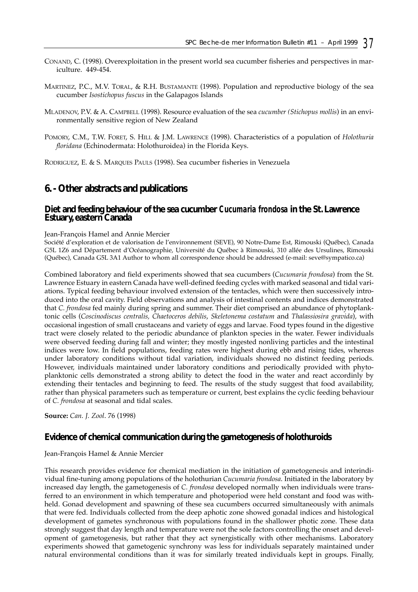- CONAND, C. (1998). Overexploitation in the present world sea cucumber fisheries and perspectives in mariculture. 449-454.
- MARTINEZ, P.C., M.V. TORAL, & R.H. BUSTAMANTE (1998). Population and reproductive biology of the sea cucumber *Isostichopus fuscus* in the Galapagos Islands
- MLADENOV, P.V. & A. CAMPBELL (1998). Resource evaluation of the sea *cucumber (Stichopus mollis*) in an environmentally sensitive region of New Zealand
- POMORY, C.M., T.W. FORET, S. HILL & J.M. LAWRENCE (1998). Characteristics of a population of *Holothuria floridana* (Echinodermata: Holothuroidea) in the Florida Keys.

RODRIGUEZ, E. & S. MARQUES PAULS (1998). Sea cucumber fisheries in Venezuela

# **6. - Other abstracts and publications**

### **Diet and feeding behaviour of the sea cucumber** *Cucumaria frondosa* **in the St. Lawrence Estuary, eastern Canada**

#### Jean-François Hamel and Annie Mercier

Société d'exploration et de valorisation de l'environnement (SEVE), 90 Notre-Dame Est, Rimouski (Québec), Canada G5L 1Z6 and Département d'Océanographie, Université du Québec à Rimouski, 310 allée des Ursulines, Rimouski (Québec), Canada G5L 3A1 Author to whom all correspondence should be addressed (e-mail: seve@sympatico.ca)

Combined laboratory and field experiments showed that sea cucumbers (*Cucumaria frondosa*) from the St. Lawrence Estuary in eastern Canada have well-defined feeding cycles with marked seasonal and tidal variations. Typical feeding behaviour involved extension of the tentacles, which were then successively introduced into the oral cavity. Field observations and analysis of intestinal contents and indices demonstrated that *C. frondosa* fed mainly during spring and summer. Their diet comprised an abundance of phytoplanktonic cells (*Coscinodiscus centralis, Chaetoceros debilis*, *Skeletonema costatum* and *Thalassiosira gravida*), with occasional ingestion of small crustaceans and variety of eggs and larvae. Food types found in the digestive tract were closely related to the periodic abundance of plankton species in the water. Fewer individuals were observed feeding during fall and winter; they mostly ingested nonliving particles and the intestinal indices were low. In field populations, feeding rates were highest during ebb and rising tides, whereas under laboratory conditions without tidal variation, individuals showed no distinct feeding periods. However, individuals maintained under laboratory conditions and periodically provided with phytoplanktonic cells demonstrated a strong ability to detect the food in the water and react accordinly by extending their tentacles and beginning to feed. The results of the study suggest that food availability, rather than physical parameters such as temperature or current, best explains the cyclic feeding behaviour of *C. frondosa* at seasonal and tidal scales.

**Source:** *Can. J. Zool*. 76 (1998)

## **Evidence of chemical communication during the gametogenesis of holothuroids**

#### Jean-François Hamel & Annie Mercier

This research provides evidence for chemical mediation in the initiation of gametogenesis and interindividual fine-tuning among populations of the holothurian *Cucumaria frondosa*. Initiated in the laboratory by increased day length, the gametogenesis of *C. frondosa* developed normally when individuals were transferred to an environment in which temperature and photoperiod were held constant and food was withheld. Gonad development and spawning of these sea cucumbers occurred simultaneously with animals that were fed. Individuals collected from the deep aphotic zone showed gonadal indices and histological development of gametes synchronous with populations found in the shallower photic zone. These data strongly suggest that day length and temperature were not the sole factors controlling the onset and development of gametogenesis, but rather that they act synergistically with other mechanisms. Laboratory experiments showed that gametogenic synchrony was less for individuals separately maintained under natural environmental conditions than it was for similarly treated individuals kept in groups. Finally,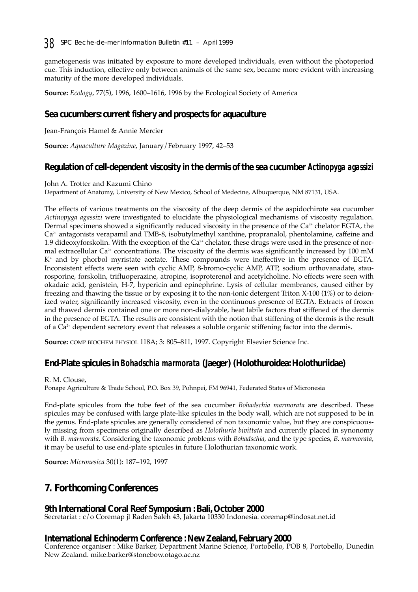gametogenesis was initiated by exposure to more developed individuals, even without the photoperiod cue. This induction, effective only between animals of the same sex, became more evident with increasing maturity of the more developed individuals.

**Source:** *Ecology*, 77(5), 1996, 1600–1616, 1996 by the Ecological Society of America

# **Sea cucumbers: current fishery and prospects for aquaculture**

Jean-François Hamel & Annie Mercier

**Source:** *Aquaculture Magazine*, January/February 1997, 42–53

## **Regulation of cell-dependent viscosity in the dermis of the sea cucumber** *Actinopyga agassizi*

John A. Trotter and Kazumi Chino

Department of Anatomy, University of New Mexico, School of Medecine, Albuquerque, NM 87131, USA.

The effects of various treatments on the viscosity of the deep dermis of the aspidochirote sea cucumber *Actinopyga agassizi* were investigated to elucidate the physiological mechanisms of viscosity regulation. Dermal specimens showed a significantly reduced viscosity in the presence of the Ca<sup>2+</sup> chelator EGTA, the  $Ca<sup>2+</sup>$  antagonists verapamil and TMB-8, isobutylmethyl xanthine, propranalol, phentolamine, caffeine and 1.9 dideoxyforskolin. With the exception of the  $Ca<sup>2+</sup>$  chelator, these drugs were used in the presence of normal extracellular  $Ca^{2+}$  concentrations. The viscosity of the dermis was significantly increased by 100 mM K+ and by phorbol myristate acetate. These compounds were ineffective in the presence of EGTA. Inconsistent effects were seen with cyclic AMP, 8-bromo-cyclic AMP, ATP, sodium orthovanadate, staurosporine, forskolin, trifluoperazine, atropine, isoproterenol and acetylcholine. No effects were seen with okadaic acid, genistein, H-7, hypericin and epinephrine. Lysis of cellular membranes, caused either by freezing and thawing the tissue or by exposing it to the non-ionic detergent Triton X-100 (1%) or to deionized water, significantly increased viscosity, even in the continuous presence of EGTA. Extracts of frozen and thawed dermis contained one or more non-dialyzable, heat labile factors that stiffened of the dermis in the presence of EGTA. The results are consistent with the notion that stiffening of the dermis is the result of a Ca2+ dependent secretory event that releases a soluble organic stiffening factor into the dermis.

**Source:** COMP BIOCHEM PHYSIOL 118A; 3: 805–811, 1997. Copyright Elsevier Science Inc.

## **End-Plate spicules in** *Bohadschia marmorata* **(Jaeger) (Holothuroidea: Holothuriidae)**

#### R. M. Clouse,

Ponape Agriculture & Trade School, P.O. Box 39, Pohnpei, FM 96941, Federated States of Micronesia

End-plate spicules from the tube feet of the sea cucumber *Bohadschia marmorata* are described. These spicules may be confused with large plate-like spicules in the body wall, which are not supposed to be in the genus. End-plate spicules are generally considered of non taxonomic value, but they are conspicuously missing from specimens originally described as *Holothuria bivittata* and currently placed in synonomy with *B. marmorata*. Considering the taxonomic problems with *Bohadschia*, and the type species, *B. marmorata*, it may be useful to use end-plate spicules in future Holothurian taxonomic work.

**Source:** *Micronesica* 30(1): 187–192, 1997

# **7. Forthcoming Conferences**

# **9th International Coral Reef Symposium : Bali, October 2000**

Secretariat : c/o Coremap jl Raden Saleh 43, Jakarta 10330 Indonesia. coremap@indosat.net.id

## **International Echinoderm Conference : New Zealand, February 2000**

Conference organiser : Mike Barker, Department Marine Science, Portobello, POB 8, Portobello, Dunedin New Zealand. mike.barker@stonebow.otago.ac.nz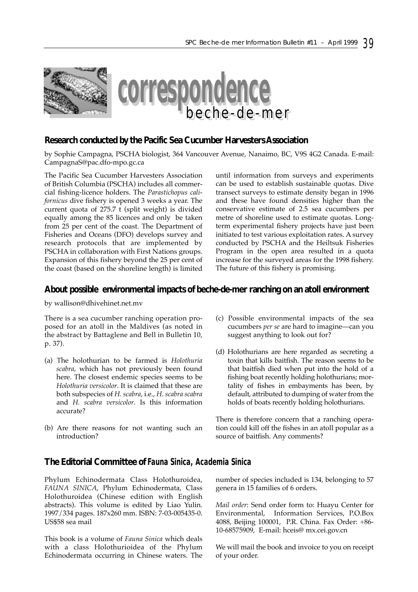



## **Research conducted by the Pacific Sea Cucumber Harvesters Association**

by Sophie Campagna, PSCHA biologist, 364 Vancouver Avenue, Nanaimo, BC, V9S 4G2 Canada. E-mail: CampagnaS@pac.dfo-mpo.gc.ca

The Pacific Sea Cucumber Harvesters Association of British Columbia (PSCHA) includes all commercial fishing-licence holders. The *Parastichopus californicus* dive fishery is opened 3 weeks a year. The current quota of 275.7 t (split weight) is divided equally among the 85 licences and only be taken from 25 per cent of the coast. The Department of Fisheries and Oceans (DFO) develops survey and research protocols that are implemented by PSCHA in collaboration with First Nations groups. Expansion of this fishery beyond the 25 per cent of the coast (based on the shoreline length) is limited until information from surveys and experiments can be used to establish sustainable quotas. Dive transect surveys to estimate density began in 1996 and these have found densities higher than the conservative estimate of 2.5 sea cucumbers per metre of shoreline used to estimate quotas. Longterm experimental fishery projects have just been initiated to test various exploitation rates. A survey conducted by PSCHA and the Heiltsuk Fisheries Program in the open area resulted in a quota increase for the surveyed areas for the 1998 fishery. The future of this fishery is promising.

## **About possible environmental impacts of beche-de-mer ranching on an atoll environment**

by wallison@dhivehinet.net.mv

There is a sea cucumber ranching operation proposed for an atoll in the Maldives (as noted in the abstract by Battaglene and Bell in Bulletin 10, p. 37).

- (a) The holothurian to be farmed is *Holothuria scabra*, which has not previously been found here. The closest endemic species seems to be *Holothuria versicolor*. It is claimed that these are both subspecies of *H. scabra*, i.e., *H. scabra scabra* and *H. scabra versicolor*. Is this information accurate?
- (b) Are there reasons for not wanting such an introduction?
- (c) Possible environmental impacts of the sea cucumbers *per se* are hard to imagine—can you suggest anything to look out for?
- (d) Holothurians are here regarded as secreting a toxin that kills baitfish. The reason seems to be that baitfish died when put into the hold of a fishing boat recently holding holothurians; mortality of fishes in embayments has been, by default, attributed to dumping of water from the holds of boats recently holding holothurians.

There is therefore concern that a ranching operation could kill off the fishes in an atoll popular as a source of baitfish. Any comments?

## **The Editorial Committee of** *Fauna Sinica, Academia Sinica*

Phylum Echinodermata Class Holothuroidea, *FAUNA SINICA*, Phylum Echinodermata, Class Holothuroidea (Chinese edition with English abstracts). This volume is edited by Liao Yulin. 1997/334 pages. 187x260 mm. ISBN: 7-03-005435-0. US\$58 sea mail

This book is a volume of *Fauna Sinica* which deals with a class Holothurioidea of the Phylum Echinodermata occurring in Chinese waters. The number of species included is 134, belonging to 57 genera in 15 families of 6 orders.

*Mail order*: Send order form to: Huayu Center for Environmental, Information Services, P.O.Box 4088, Beijing 100001, P.R. China. Fax Order: +86- 10-68575909, E-mail: hceis@ mx.cei.gov.cn

We will mail the book and invoice to you on receipt of your order.